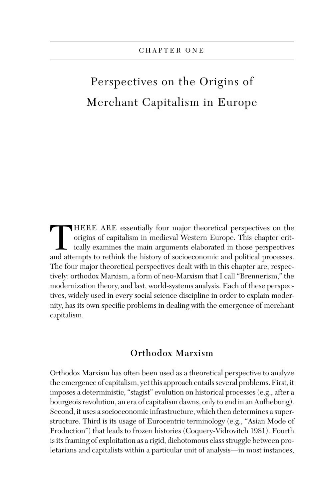# Perspectives on the Origins of Merchant Capitalism in Europe

THERE ARE essentially four major theoretical perspectives on the origins of capitalism in medieval Western Europe. This chapter critically examines the main arguments elaborated in those perspectives and attempts to rethin origins of capitalism in medieval Western Europe. This chapter critically examines the main arguments elaborated in those perspectives The four major theoretical perspectives dealt with in this chapter are, respectively: orthodox Marxism, a form of neo-Marxism that I call "Brennerism," the modernization theory, and last, world-systems analysis. Each of these perspectives, widely used in every social science discipline in order to explain modernity, has its own specific problems in dealing with the emergence of merchant capitalism.

# **Orthodox Marxism**

Orthodox Marxism has often been used as a theoretical perspective to analyze the emergence of capitalism, yet this approach entails several problems. First, it imposes a deterministic, "stagist" evolution on historical processes (e.g., after a bourgeois revolution, an era of capitalism dawns, only to end in an Aufhebung). Second, it uses a socioeconomic infrastructure, which then determines a superstructure. Third is its usage of Eurocentric terminology (e.g., "Asian Mode of Production") that leads to frozen histories (Coquery-Vidrovitch 1981). Fourth is its framing of exploitation as a rigid, dichotomous class struggle between proletarians and capitalists within a particular unit of analysis—in most instances,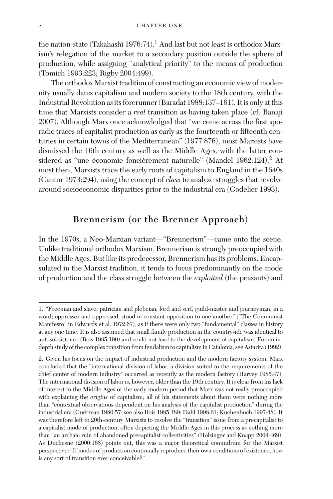the nation-state (Takahashi 1976:74).<sup>1</sup> And last but not least is orthodox Marxism's relegation of the market to a secondary position outside the sphere of production, while assigning "analytical priority" to the means of production (Tomich 1993:223; Rigby 2004:499).

The orthodox Marxist tradition of constructing an economic view of modernity usually dates capitalism and modern society to the 18th century, with the Industrial Revolution as its forerunner (Baradat 1988:137–161). It is only at this time that Marxists consider a *real* transition as having taken place (cf. Banaji 2007). Although Marx once acknowledged that "we come across the first sporadic traces of capitalist production as early as the fourteenth or fifteenth centuries in certain towns of the Mediterranean" (1977:876), most Marxists have dismissed the 16th century as well as the Middle Ages, with the latter considered as "une économie foncièrement naturelle" (Mandel 1962:124).<sup>2</sup> At most then, Marxists trace the early roots of capitalism to England in the 1640s (Cantor 1973:294), using the concept of *class* to analyze struggles that revolve around socioeconomic disparities prior to the industrial era (Godelier 1993).

# **Brennerism (or the Brenner Approach)**

In the 1970s, a Neo-Marxian variant—"Brennerism"—came onto the scene. Unlike traditional orthodox Marxism, Brennerism is strongly preoccupied with the Middle Ages. But like its predecessor, Brennerism has its problems. Encapsulated in the Marxist tradition, it tends to focus predominantly on the mode of production and the class struggle between the *exploited* (the peasants) and

<sup>1. &</sup>quot;Freeman and slave, patrician and plebeian, lord and serf, guild-master and journeyman, in a word; oppressor and oppressed, stood in constant opposition to one another" ("The Communist Manifesto" in Edwards et al. 1972:67), as if there were only two "fundamental" classes in history at any one time. It is also assumed that small family production in the countryside was identical to autosubsistence (Bois 1985:190) and could not lead to the development of capitalism. For an indepth study of the complex transition from feudalism to capitalism in Catalonia, see Astarita (1992).

<sup>2.</sup> Given his focus on the impact of industrial production and the modern factory system, Marx concluded that the "international division of labor, a division suited to the requirements of the chief center of modern industry" occurred as recently as the modern factory (Harvey 1985:47). The international division of labor is, however, older than the 19th century. It is clear from his lack of interest in the Middle Ages or the early modern period that Marx was not really preoccupied with explaining the *origins* of capitalism; all of his statements about them were nothing more than "contextual observations dependent on his analysis of the capitalist production" during the industrial era (Guérreau 1980:57; see also Bois 1985:189; Dahl 1998:61; Kuchenbuch 1997:48). It was therefore left to 20th-century Marxists to resolve the "transition" issue from a precapitalist to a capitalist mode of production, often depicting the Middle Ages in this process as nothing more than "an archaic ruin of abandoned precapitalist collectivities" (Holsinger and Knapp 2004:469). As Duchesne (2000:168) points out, this was a major theoretical conundrum for the Marxist perspective: "If modes of production continually reproduce their own conditions of existence, how is any sort of transition ever conceivable?"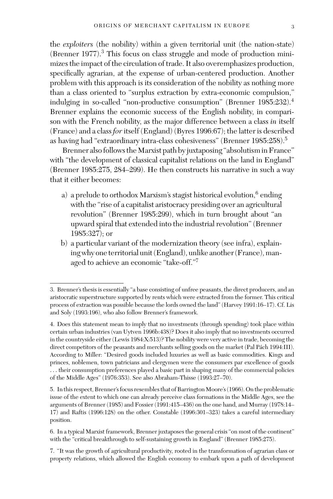the *exploiters* (the nobility) within a given territorial unit (the nation-state) (Brenner 1977).3 This focus on class struggle and mode of production minimizes the impact of the circulation of trade. It also overemphasizes production, specifically agrarian, at the expense of urban-centered production. Another problem with this approach is its consideration of the nobility as nothing more than a class oriented to "surplus extraction by extra-economic compulsion," indulging in so-called "non-productive consumption" (Brenner 1985:232).<sup>4</sup> Brenner explains the economic success of the English nobility, in comparison with the French nobility, as the major difference between a class *in* itself (France) and a class *for* itself (England) (Byres 1996:67); the latter is described as having had "extraordinary intra-class cohesiveness" (Brenner 1985:258).<sup>5</sup>

Brenner also follows the Marxist path by juxtaposing "absolutism in France" with "the development of classical capitalist relations on the land in England" (Brenner 1985:275, 284–299). He then constructs his narrative in such a way that it either becomes:

- a) a prelude to orthodox Marxism's stagist historical evolution, $6$  ending with the "rise of a capitalist aristocracy presiding over an agricultural revolution" (Brenner 1985:299), which in turn brought about "an upward spiral that extended into the industrial revolution" (Brenner 1985:327); or
- b) a particular variant of the modernization theory (see infra), explaining why one territorial unit (England), unlike another (France), managed to achieve an economic "take-off."7

<sup>3.</sup> Brenner's thesis is essentially "a base consisting of unfree peasants, the direct producers, and an aristocratic superstructure supported by rents which were extracted from the former. This critical process of extraction was possible because the lords owned the land" (Harvey 1991:16–17). Cf. Lis and Soly (1993:196), who also follow Brenner's framework.

<sup>4.</sup> Does this statement mean to imply that no investments (through spending) took place within certain urban industries (van Uytven 1996b:438)? Does it also imply that no investments occurred in the countryside either (Lewis 1984:X:513)? The nobility were very active in trade, becoming the direct competitors of the peasants and merchants selling goods on the market (Pal Pách 1994:III). According to Miller: "Desired goods included luxuries as well as basic commodities. Kings and princes, noblemen, town patricians and clergymen were the consumers par excellence of goods ... their consumption preferences played a basic part in shaping many of the commercial policies of the Middle Ages" (1976:353). See also Abraham-Thisse (1993:27–70).

<sup>5.</sup> In this respect, Brenner's focus resembles that of BarringtonMoore's (1966). On the problematic issue of the extent to which one can already perceive class formations in the Middle Ages, see the arguments of Brenner (1985) and Fossier (1991:415–436) on the one hand, and Murray (1978:14– 17) and Raftis (1996:128) on the other. Constable (1996:301–323) takes a careful intermediary position.

<sup>6.</sup> In a typical Marxist framework, Brenner juxtaposes the general crisis "on most of the continent" with the "critical breakthrough to self-sustaining growth in England" (Brenner 1985:275).

<sup>7. &</sup>quot;It was the growth of agricultural productivity, rooted in the transformation of agrarian class or property relations, which allowed the English economy to embark upon a path of development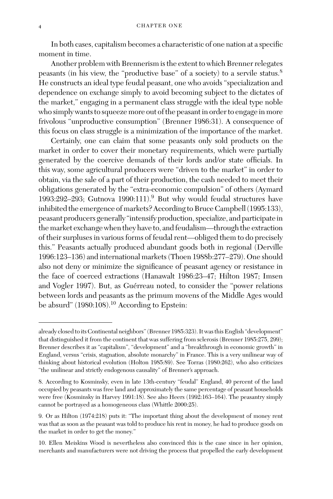In both cases, capitalism becomes a characteristic of one nation at a specific moment in time.

Another problem with Brennerism is the extent to which Brenner relegates peasants (in his view, the "productive base" of a society) to a servile status.<sup>8</sup> He constructs an ideal type feudal peasant, one who avoids "specialization and dependence on exchange simply to avoid becoming subject to the dictates of the market," engaging in a permanent class struggle with the ideal type noble who simply wants to squeeze more out of the peasant in order to engage in more frivolous "unproductive consumption" (Brenner 1986:31). A consequence of this focus on class struggle is a minimization of the importance of the market.

Certainly, one can claim that some peasants only sold products on the market in order to cover their monetary requirements, which were partially generated by the coercive demands of their lords and/or state officials. In this way, some agricultural producers were "driven to the market" in order to obtain, via the sale of a part of their production, the cash needed to meet their obligations generated by the "extra-economic compulsion" of others (Aymard 1993:292–293; Gutnova 1990:111).<sup>9</sup> But why would feudal structures have inhibited the emergence of markets? According to Bruce Campbell (1995:133), peasant producers generally "intensify production, specialize, and participate in the market exchange when they have to, and feudalism—through the extraction of their surpluses in various forms of feudal rent—obliged them to do precisely this." Peasants actually produced abundant goods both in regional (Derville 1996:123–136) and international markets (Thoen 1988b:277–279). One should also not deny or minimize the significance of peasant agency or resistance in the face of coerced extractions (Hanawalt 1986:23–47; Hilton 1987; Imsen and Vogler 1997). But, as Guérreau noted, to consider the "power relations between lords and peasants as the primum movens of the Middle Ages would be absurd" (1980:108).<sup>10</sup> According to Epstein:

already closed to its Continental neighbors" (Brenner 1985:323). It was this English "development" that distinguished it from the continent that was suffering from sclerosis (Brenner 1985:275, 299); Brenner describes it as "capitalism", "development" and a "breakthrough in economic growth" in England, versus "crisis, stagnation, absolute monarchy" in France. This is a very unilinear way of thinking about historical evolution (Holton 1985:89). See Torras (1980:262), who also criticizes "the unilinear and strictly endogenous causality" of Brenner's approach.

<sup>8.</sup> According to Kosminsky, even in late 13th-century "feudal" England, 40 percent of the land occupied by peasants was free land and approximately the same percentage of peasant households were free (Kosminsky in Harvey 1991:18). See also Heers (1992:163–164). The peasantry simply cannot be portrayed as a homogeneous class (Whittle 2000:25).

<sup>9.</sup> Or as Hilton (1974:218) puts it: "The important thing about the development of money rent was that as soon as the peasant was told to produce his rent in money, he had to produce goods on the market in order to get the money."

<sup>10.</sup> Ellen Meiskins Wood is nevertheless also convinced this is the case since in her opinion, merchants and manufacturers were not driving the process that propelled the early development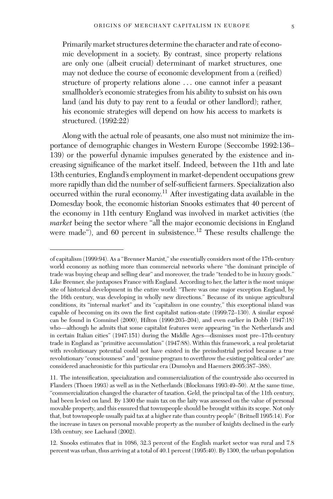Primarily market structures determine the character and rate of economic development in a society. By contrast, since property relations are only one (albeit crucial) determinant of market structures, one may not deduce the course of economic development from a (reified) structure of property relations alone ... one cannot infer a peasant smallholder's economic strategies from his ability to subsist on his own land (and his duty to pay rent to a feudal or other landlord); rather, his economic strategies will depend on how his access to markets is structured. (1992:22)

Along with the actual role of peasants, one also must not minimize the importance of demographic changes in Western Europe (Seccombe 1992:136– 139) or the powerful dynamic impulses generated by the existence and increasing significance of the market itself. Indeed, between the 11th and late 13th centuries, England's employment in market-dependent occupations grew more rapidly than did the number of self-sufficient farmers. Specialization also occurred within the rural economy.<sup>11</sup> After investigating data available in the Domesday book, the economic historian Snooks estimates that 40 percent of the economy in 11th century England was involved in market activities (the *market* being the sector where "all the major economic decisions in England were made"), and 60 percent in subsistence.<sup>12</sup> These results challenge the

of capitalism (1999:94). As a "Brenner Marxist," she essentially considers most of the 17th-century world economy as nothing more than commercial networks where "the dominant principle of trade was buying cheap and selling dear" and moreover, the trade "tended to be in luxury goods." Like Brenner, she juxtaposes France with England. According to her, the latter is the most unique site of historical development in the entire world: "There was one major exception England, by the 16th century, was developing in wholly new directions." Because of its unique agricultural conditions, its "internal market" and its "capitalism in one country," this exceptional island was capable of becoming on its own the first capitalist nation-state (1999:72-130). A similar exposé can be found in Comninel (2000), Hilton (1990:203–204), and even earlier in Dobb (1947:18) who—although he admits that some capitalist features were appearing "in the Netherlands and in certain Italian cities" (1947:151) during the Middle Ages—dismisses most pre–17th-century trade in England as "primitive accumulation" (1947:88). Within this framework, a real proletariat with revolutionary potential could not have existed in the preindustrial period because a true revolutionary "consciousness" and "genuine program to overthrow the existing political order" are considered anachronistic for this particular era (Dumolyn and Haemers 2005:387–388).

<sup>11.</sup> The intensification, specialization and commercialization of the countryside also occurred in Flanders (Thoen 1993) as well as in the Netherlands (Blockmans 1993:49–50). At the same time, "commercialization changed the character of taxation. Geld, the principal tax of the 11th century, had been levied on land. By 1300 the main tax on the laity was assessed on the value of personal movable property, and this ensured that townspeople should be brought within its scope. Not only that, but townspeople usually paid tax at a higher rate than country people" (Britnell 1995:14). For the increase in taxes on personal movable property as the number of knights declined in the early 13th century, see Lachaud (2002).

<sup>12.</sup> Snooks estimates that in 1086, 32.3 percent of the English market sector was rural and 7.8 percent was urban, thus arriving at a total of 40.1 percent (1995:40). By 1300, the urban population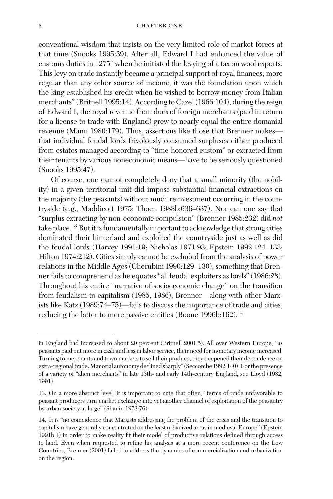conventional wisdom that insists on the very limited role of market forces at that time (Snooks 1995:39). After all, Edward I had enhanced the value of customs duties in 1275 "when he initiated the levying of a tax on wool exports. This levy on trade instantly became a principal support of royal finances, more regular than any other source of income; it was the foundation upon which the king established his credit when he wished to borrow money from Italian merchants" (Britnell 1995:14). According to Cazel (1966:104), during the reign of Edward I, the royal revenue from dues of foreign merchants (paid in return for a license to trade with England) grew to nearly equal the entire domanial revenue (Mann 1980:179). Thus, assertions like those that Brenner makes that individual feudal lords frivolously consumed surpluses either produced from estates managed according to "time-honored custom" or extracted from their tenants by various noneconomic means—have to be seriously questioned (Snooks 1995:47).

Of course, one cannot completely deny that a small minority (the nobility) in a given territorial unit did impose substantial financial extractions on the majority (the peasants) without much reinvestment occurring in the countryside (e.g., Maddicott 1975; Thoen 1988b:636–637). Nor can one say that "surplus extracting by non-economic compulsion" (Brenner 1985:232) did *not* take place.<sup>13</sup> But it is fundamentally important to acknowledge that strong cities dominated their hinterland and exploited the countryside just as well as did the feudal lords (Harvey 1991:19; Nicholas 1971:93; Epstein 1992:124–133; Hilton 1974:212). Cities simply cannot be excluded from the analysis of power relations in the Middle Ages (Cherubini 1990:129–130), something that Brenner fails to comprehend as he equates "all feudal exploiters as lords" (1986:28). Throughout his entire "narrative of socioeconomic change" on the transition from feudalism to capitalism (1985, 1986), Brenner—along with other Marxists like Katz (1989:74–75)—fails to discuss the importance of trade and cities, reducing the latter to mere passive entities (Boone 1996b:162).<sup>14</sup>

in England had increased to about 20 percent (Britnell 2001:5). All over Western Europe, "as peasants paid out more in cash and less in labor service, their need for monetary income increased. Turning to merchants and town markets to sell their produce, they deepened their dependence on extra-regional trade.Manorial autonomy declined sharply" (Seccombe 1992:140). For the presence of a variety of "alien merchants" in late 13th- and early 14th-century England, see Lloyd (1982, 1991).

<sup>13.</sup> On a more abstract level, it is important to note that often, "terms of trade unfavorable to peasant producers turn market exchange into yet another channel of exploitation of the peasantry by urban society at large" (Shanin 1973:76).

<sup>14.</sup> It is "no coincidence that Marxists addressing the problem of the crisis and the transition to capitalism have generally concentrated on the least urbanized areas in medieval Europe" (Epstein 1991b:4) in order to make reality fit their model of productive relations defined through access to land. Even when requested to refine his analysis at a more recent conference on the Low Countries, Brenner (2001) failed to address the dynamics of commercialization and urbanization on the region.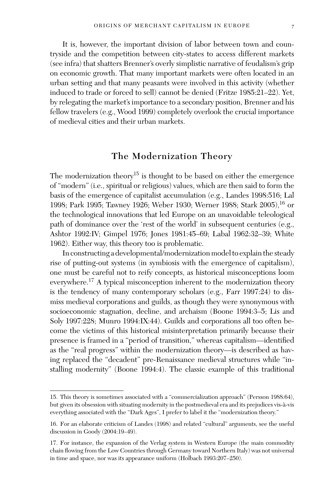It is, however, the important division of labor between town and countryside and the competition between city-states to access different markets (see infra) that shatters Brenner's overly simplistic narrative of feudalism's grip on economic growth. That many important markets were often located in an urban setting and that many peasants were involved in this activity (whether induced to trade or forced to sell) cannot be denied (Fritze 1985:21–22). Yet, by relegating the market's importance to a secondary position, Brenner and his fellow travelers (e.g., Wood 1999) completely overlook the crucial importance of medieval cities and their urban markets.

## **The Modernization Theory**

The modernization theory<sup>15</sup> is thought to be based on either the emergence of "modern" (i.e., spiritual or religious) values, which are then said to form the basis of the emergence of capitalist accumulation (e.g., Landes 1998:516; Lal 1998; Park 1995; Tawney 1926; Weber 1930; Werner 1988; Stark 2005), <sup>16</sup> or the technological innovations that led Europe on an unavoidable teleological path of dominance over the 'rest of the world' in subsequent centuries (e.g., Ashtor 1992:IV; Gimpel 1976; Jones 1981:45–69; Labal 1962:32–39; White 1962). Either way, this theory too is problematic.

In constructing a developmental/modernization model to explain the steady rise of putting-out systems (in symbiosis with the emergence of capitalism), one must be careful not to reify concepts, as historical misconceptions loom everywhere.<sup>17</sup> A typical misconception inherent to the modernization theory is the tendency of many contemporary scholars (e.g., Farr 1997:24) to dismiss medieval corporations and guilds, as though they were synonymous with socioeconomic stagnation, decline, and archaism (Boone 1994:3–5; Lis and Soly 1997:228; Munro 1994:IX:44). Guilds and corporations all too often become the victims of this historical misinterpretation primarily because their presence is framed in a "period of transition," whereas capitalism—identified as the "real progress" within the modernization theory—is described as having replaced the "decadent" pre-Renaissance medieval structures while "installing modernity" (Boone 1994:4). The classic example of this traditional

<sup>15.</sup> This theory is sometimes associated with a "commercialization approach" (Persson 1988:64), but given its obsession with situating modernity in the postmedieval era and its prejudices vis-à-vis everything associated with the "Dark Ages", I prefer to label it the "modernization theory."

<sup>16.</sup> For an elaborate criticism of Landes (1998) and related "cultural" arguments, see the useful discussion in Goody (2004:19–49).

<sup>17.</sup> For instance, the expansion of the Verlag system in Western Europe (the main commodity chain flowing from the Low Countries through Germany toward Northern Italy) was not universal in time and space, nor was its appearance uniform (Holbach 1993:207–250).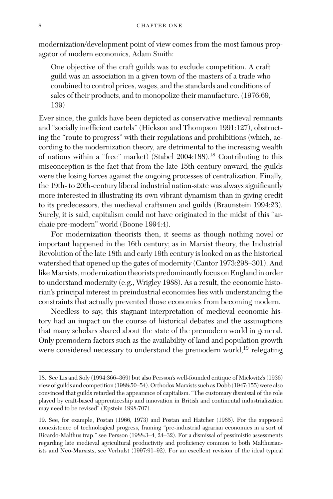modernization/development point of view comes from the most famous propagator of modern economics, Adam Smith:

One objective of the craft guilds was to exclude competition. A craft guild was an association in a given town of the masters of a trade who combined to control prices, wages, and the standards and conditions of sales of their products, and to monopolize their manufacture. (1976:69, 139)

Ever since, the guilds have been depicted as conservative medieval remnants and "socially inefficient cartels" (Hickson and Thompson 1991:127), obstructing the "route to progress" with their regulations and prohibitions (which, according to the modernization theory, are detrimental to the increasing wealth of nations within a "free" market) (Stabel 2004:188).18 Contributing to this misconception is the fact that from the late 15th century onward, the guilds were the losing forces against the ongoing processes of centralization. Finally, the 19th- to 20th-century liberal industrial nation-state was always significantly more interested in illustrating its own vibrant dynamism than in giving credit to its predecessors, the medieval craftsmen and guilds (Braunstein 1994:23). Surely, it is said, capitalism could not have originated in the midst of this "archaic pre-modern" world (Boone 1994:4).

For modernization theorists then, it seems as though nothing novel or important happened in the 16th century; as in Marxist theory, the Industrial Revolution of the late 18th and early 19th century is looked on as the historical watershed that opened up the gates of modernity (Cantor 1973:298–301). And likeMarxists, modernization theorists predominantly focus on England in order to understand modernity (e.g., Wrigley 1988). As a result, the economic historian's principal interest in preindustrial economies lies with understanding the constraints that actually prevented those economies from becoming modern.

Needless to say, this stagnant interpretation of medieval economic history had an impact on the course of historical debates and the assumptions that many scholars shared about the state of the premodern world in general. Only premodern factors such as the availability of land and population growth were considered necessary to understand the premodern world,<sup>19</sup> relegating

<sup>18.</sup> See Lis and Soly (1994:366–369) but also Persson's well-founded critique of Mickwitz's (1936) view of guilds and competition (1988:50–54). OrthodoxMarxists such as Dobb (1947:155) were also convinced that guilds retarded the appearance of capitalism. "The customary dismissal of the role played by craft-based apprenticeship and innovation in British and continental industrialization may need to be revised" (Epstein 1998:707).

<sup>19.</sup> See, for example, Postan (1966, 1973) and Postan and Hatcher (1985). For the supposed nonexistence of technological progress, framing "pre-industrial agrarian economies in a sort of Ricardo-Malthus trap," see Persson (1988:3–4, 24–32). For a dismissal of pessimistic assessments regarding late medieval agricultural productivity and proficiency common to both Malthusianists and Neo-Marxists, see Verhulst (1997:91–92). For an excellent revision of the ideal typical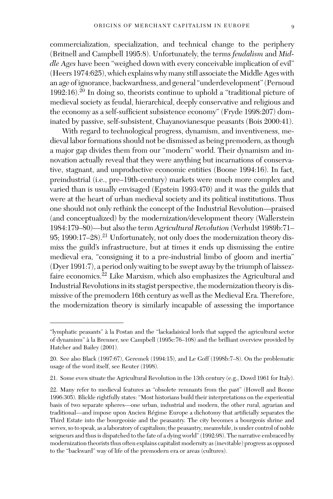commercialization, specialization, and technical change to the periphery (Britnell and Campbell 1995:8). Unfortunately, the terms *feudalism* and *Middle Ages* have been "weighed down with every conceivable implication of evil" (Heers 1974:625), which explains why many still associate the Middle Ages with an age of ignorance, backwardness, and general "underdevelopment" (Pernoud 1992:16).<sup>20</sup> In doing so, theorists continue to uphold a "traditional picture of medieval society as feudal, hierarchical, deeply conservative and religious and the economy as a self-sufficient subsistence economy" (Fryde 1998:207) dominated by passive, self-subsistent, Chayanovianesque peasants (Bois 2000:41).

With regard to technological progress, dynamism, and inventiveness, medieval labor formations should not be dismissed as being premodern, as though a major gap divides them from our "modern" world. Their dynamism and innovation actually reveal that they were anything but incarnations of conservative, stagnant, and unproductive economic entities (Boone 1994:16). In fact, preindustrial (i.e., pre–19th-century) markets were much more complex and varied than is usually envisaged (Epstein 1993:470) and it was the guilds that were at the heart of urban medieval society and its political institutions. Thus one should not only rethink the concept of the Industrial Revolution—praised (and conceptualized) by the modernization/development theory (Wallerstein 1984:179–80)—but also the term *Agricultural Revolution* (Verhulst 1989b:71– 95; 1990:17-28).<sup>21</sup> Unfortunately, not only does the modernization theory dismiss the guild's infrastructure, but at times it ends up dismissing the entire medieval era, "consigning it to a pre-industrial limbo of gloom and inertia" (Dyer 1991:7), a period only waiting to be swept away by the triumph of laissezfaire economics. $^{22}$  Like Marxism, which also emphasizes the Agricultural and Industrial Revolutions in its stagist perspective, the modernization theory is dismissive of the premodern 16th century as well as the Medieval Era. Therefore, the modernization theory is similarly incapable of assessing the importance

<sup>&</sup>quot;lymphatic peasants" à la Postan and the "lackadaisical lords that sapped the agricultural sector of dynamism" à la Brenner, see Campbell (1995c:76-108) and the brilliant overview provided by Hatcher and Bailey (2001).

<sup>20.</sup> See also Black (1997:67), Geremek (1994:15), and Le Goff (1998b:7–8). On the problematic usage of the word itself, see Reuter (1998).

<sup>21.</sup> Some even situate the Agricultural Revolution in the 13th century (e.g., Dowd 1961 for Italy).

<sup>22.</sup> Many refer to medieval features as "obsolete remnants from the past" (Howell and Boone 1996:305). Blickle rightfully states: "Most historians build their interpretations on the experiential basis of two separate spheres—one urban, industrial and modern, the other rural, agrarian and traditional—and impose upon Ancien Régime Europe a dichotomy that artificially separates the Third Estate into the bourgeoisie and the peasantry. The city becomes a bourgeois shrine and serves, so to speak, as a laboratory of capitalism; the peasantry, meanwhile, is under control of noble seigneurs and thus is dispatched to the fate of a dying world" (1992:98). The narrative embraced by modernization theorists thus often explains capitalist modernity as (inevitable) progress as opposed to the "backward" way of life of the premodern era or areas (cultures).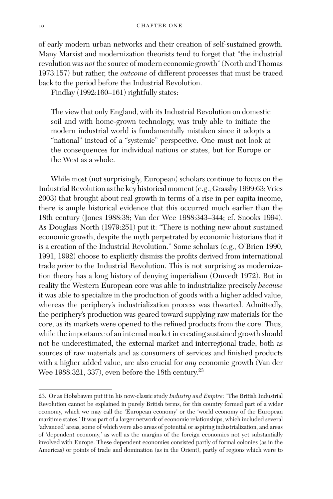of early modern urban networks and their creation of self-sustained growth. Many Marxist and modernization theorists tend to forget that "the industrial revolution was *not* the source of modern economic growth" (North and Thomas 1973:157) but rather, the *outcome* of different processes that must be traced back to the period before the Industrial Revolution.

Findlay (1992:160–161) rightfully states:

The view that only England, with its Industrial Revolution on domestic soil and with home-grown technology, was truly able to initiate the modern industrial world is fundamentally mistaken since it adopts a "national" instead of a "systemic" perspective. One must not look at the consequences for individual nations or states, but for Europe or the West as a whole.

While most (not surprisingly, European) scholars continue to focus on the Industrial Revolution as the key historical moment (e.g., Grassby 1999:63; Vries 2003) that brought about real growth in terms of a rise in per capita income, there is ample historical evidence that this occurred much earlier than the 18th century (Jones 1988:38; Van der Wee 1988:343–344; cf. Snooks 1994). As Douglass North (1979:251) put it: "There is nothing new about sustained economic growth, despite the myth perpetrated by economic historians that it is a creation of the Industrial Revolution." Some scholars (e.g., O'Brien 1990, 1991, 1992) choose to explicitly dismiss the profits derived from international trade *prior* to the Industrial Revolution. This is not surprising as modernization theory has a long history of denying imperialism (Omvedt 1972). But in reality the Western European core was able to industrialize precisely *because* it was able to specialize in the production of goods with a higher added value, whereas the periphery's industrialization process was thwarted. Admittedly, the periphery's production was geared toward supplying raw materials for the core, as its markets were opened to the refined products from the core. Thus, while the importance of an internal market in creating sustained growth should not be underestimated, the external market and interregional trade, both as sources of raw materials and as consumers of services and finished products with a higher added value, are also crucial for *any* economic growth (Van der Wee 1988:321, 337), even before the 18th century.<sup>23</sup>

<sup>23.</sup> Or as Hobsbawm put it in his now-classic study *Industry and Empire*: "The British Industrial Revolution cannot be explained in purely British terms, for this country formed part of a wider economy, which we may call the 'European economy' or the 'world economy of the European maritime states.' It was part of a larger network of economic relationships, which included several 'advanced' areas, some of which were also areas of potential or aspiring industrialization, and areas of 'dependent economy,' as well as the margins of the foreign economies not yet substantially involved with Europe. These dependent economies consisted partly of formal colonies (as in the Americas) or points of trade and domination (as in the Orient), partly of regions which were to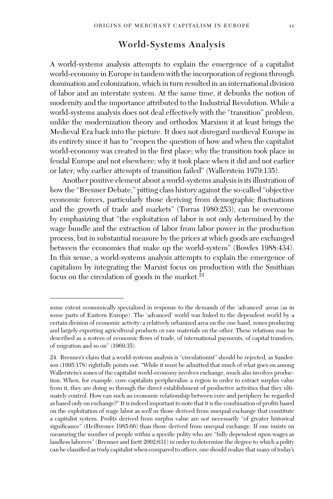# **World-Systems Analysis**

A world-systems analysis attempts to explain the emergence of a capitalist world-economy in Europe in tandem with the incorporation of regions through domination and colonization, which in turn resulted in an international division of labor and an interstate system. At the same time, it debunks the notion of modernity and the importance attributed to the Industrial Revolution. While a world-systems analysis does not deal effectively with the "transition" problem, unlike the modernization theory and orthodox Marxism it at least brings the Medieval Era back into the picture. It does not disregard medieval Europe in its entirety since it has to "reopen the question of how and when the capitalist world-economy was created in the first place; why the transition took place in feudal Europe and not elsewhere; why it took place when it did and not earlier or later; why earlier attempts of transition failed" (Wallerstein 1979:135).

Another positive element about a world-systems analysis is its illustration of how the "Brenner Debate," pitting class history against the so-called "objective economic forces, particularly those deriving from demographic fluctuations and the growth of trade and markets" (Torras 1980:253), can be overcome by emphasizing that "the exploitation of labor is not only determined by the wage bundle and the extraction of labor from labor power in the production process, but in substantial measure by the prices at which goods are exchanged between the economies that make up the world-system" (Bowles 1988:434). In this sense, a world-systems analysis attempts to explain the emergence of capitalism by integrating the Marxist focus on production with the Smithian focus on the circulation of goods in the market.<sup>24</sup>

some extent economically specialized in response to the demands of the 'advanced' areas (as in some parts of Eastern Europe). The 'advanced' world was linked to the dependent world by a certain division of economic activity: a relatively urbanized area on the one hand, zones producing and largely exporting agricultural products or raw materials on the other. These relations may be described as a system of economic flows of trade, of international payments, of capital transfers, of migration and so on" (1969:35).

<sup>24.</sup> Brenner's claim that a world-systems analysis is "circulationist" should be rejected, as Sanderson (1995:178) rightfully points out: "While it must be admitted that much of what goes on among Wallerstein's zones of the capitalist world-economy involves exchange, much also involves production. When, for example, core capitalists peripheralize a region in order to extract surplus value from it, they are doing so through the direct establishment of productive activities that they ultimately control. How can such an economic relationship between core and periphery be regarded as based only on exchange?" It is indeed important to note that it is the combination of profits based on the exploitation of wage labor as *well as* those derived from unequal exchange that constitute a capitalist system. Profits derived from surplus value are *not* necessarily "of greater historical significance" (Heilbroner 1985:66) than those derived from unequal exchange. If one insists on measuring the number of people within a specific polity who are "fully dependent upon wages as landless laborers" (Brenner and Isett 2002:631) in order to determine the degree to which a polity can be classified as*truly* capitalist when compared to others, one should realize that many of today's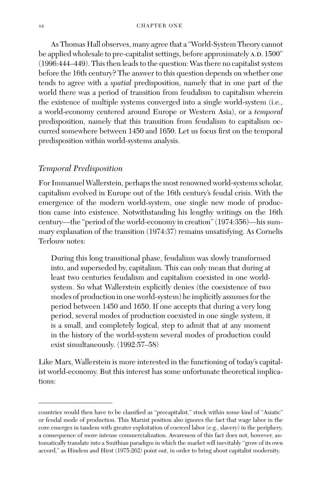#### 12 CHAPTER ONE

As Thomas Hall observes, many agree that a "World-System Theory cannot be applied wholesale to pre-capitalist settings, before approximately A.D. 1500" (1996:444–449). This then leads to the question: Was there no capitalist system before the 16th century? The answer to this question depends on whether one tends to agree with a *spatial* predisposition, namely that in one part of the world there was a period of transition from feudalism to capitalism wherein the existence of multiple systems converged into a single world-system (i.e., a world-economy centered around Europe or Western Asia), or a *temporal* predisposition, namely that this transition from feudalism to capitalism occurred somewhere between 1450 and 1650. Let us focus first on the temporal predisposition within world-systems analysis.

## *Temporal Predisposition*

For Immanuel Wallerstein, perhaps the most renowned world-systems scholar, capitalism evolved in Europe out of the 16th century's feudal crisis. With the emergence of the modern world-system, one single new mode of production came into existence. Notwithstanding his lengthy writings on the 16th century—the "period of the world-economy in creation" (1974:356)—his summary explanation of the transition (1974:37) remains unsatisfying. As Cornelis Terlouw notes:

During this long transitional phase, feudalism was slowly transformed into, and superseded by, capitalism. This can only mean that during at least two centuries feudalism and capitalism coexisted in one worldsystem. So what Wallerstein explicitly denies (the coexistence of two modes of production in one world-system) he implicitly assumes for the period between 1450 and 1650. If one accepts that during a very long period, several modes of production coexisted in one single system, it is a small, and completely logical, step to admit that at any moment in the history of the world-system several modes of production could exist simultaneously. (1992:57–58)

Like Marx, Wallerstein is more interested in the functioning of today's capitalist world-economy. But this interest has some unfortunate theoretical implications:

countries would then have to be classified as "precapitalist," stuck within some kind of "Asiatic" or feudal mode of production. This Marxist position also ignores the fact that wage labor in the core emerges in tandem with greater exploitation of coerced labor (e.g., slavery) in the periphery, a consequence of more intense commercialization. Awareness of this fact does not, however, automatically translate into a Smithian paradigm in which the market will inevitably "grow of its own accord," as Hindess and Hirst (1975:262) point out, in order to bring about capitalist modernity.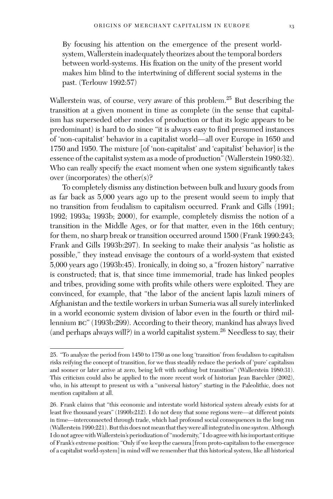By focusing his attention on the emergence of the present worldsystem, Wallerstein inadequately theorizes about the temporal borders between world-systems. His fixation on the unity of the present world makes him blind to the intertwining of different social systems in the past. (Terlouw 1992:57)

Wallerstein was, of course, very aware of this problem.<sup>25</sup> But describing the transition at a given moment in time as complete (in the sense that capitalism has superseded other modes of production or that its logic appears to be predominant) is hard to do since "it is always easy to find presumed instances of 'non-capitalist' behavior in a capitalist world—all over Europe in 1650 and 1750 and 1950. The mixture [of 'non-capitalist' and 'capitalist' behavior] is the essence of the capitalist system as a mode of production" (Wallerstein 1980:32). Who can really specify the exact moment when one system significantly takes over (incorporates) the other(s)?

To completely dismiss any distinction between bulk and luxury goods from as far back as 5,000 years ago up to the present would seem to imply that no transition from feudalism to capitalism occurred. Frank and Gills (1991; 1992; 1993a; 1993b; 2000), for example, completely dismiss the notion of a transition in the Middle Ages, or for that matter, even in the 16th century; for them, no sharp break or transition occurred around 1500 (Frank 1990:243; Frank and Gills 1993b:297). In seeking to make their analysis "as holistic as possible," they instead envisage the contours of a world-system that existed 5,000 years ago (1993b:45). Ironically, in doing so, a "frozen history" narrative is constructed; that is, that since time immemorial, trade has linked peoples and tribes, providing some with profits while others were exploited. They are convinced, for example, that "the labor of the ancient lapis lazuli miners of Afghanistan and the textile workers in urban Sumeria was all surely interlinked in a world economic system division of labor even in the fourth or third millennium bc" (1993b:299). According to their theory, mankind has always lived (and perhaps always will?) in a world capitalist system.<sup>26</sup> Needless to say, their

<sup>25. &</sup>quot;To analyze the period from 1450 to 1750 as one long 'transition' from feudalism to capitalism risks reifying the concept of transition, for we thus steadily reduce the periods of 'pure' capitalism and sooner or later arrive at zero, being left with nothing but transition" (Wallerstein 1980:31). This criticism could also be applied to the more recent work of historian Jean Baechler (2002), who, in his attempt to present us with a "universal history" starting in the Paleolithic, does not mention capitalism at all.

<sup>26.</sup> Frank claims that "this economic and interstate world historical system already exists for at least five thousand years" (1990b:212). I do not deny that some regions were—at different points in time—interconnected through trade, which had profound social consequences in the long run (Wallerstein 1990:221). But this does not mean that they were all integrated in one *system*. Although I do not agree with Wallerstein's periodization of "modernity," I do agree with his important critique of Frank's extreme position: "Only if we keep the caesura [from proto-capitalism to the emergence of a capitalist world-system] in mind will we remember that this historical system, like all historical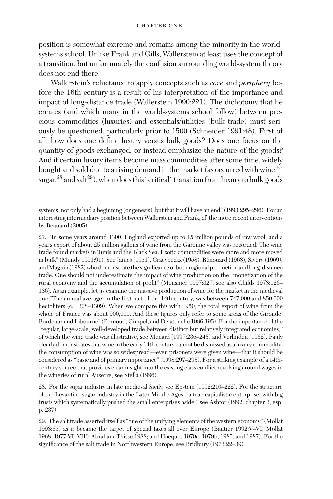position is somewhat extreme and remains among the minority in the worldsystems school. Unlike Frank and Gills, Wallerstein at least uses the concept of a transition, but unfortunately the confusion surrounding world-system theory does not end there.

Wallerstein's reluctance to apply concepts such as *core* and *periphery* before the 16th century is a result of his interpretation of the importance and impact of long-distance trade (Wallerstein 1990:221). The dichotomy that he creates (and which many in the world-systems school follow) between precious commodities (luxuries) and essentials/utilities (bulk trade) must seriously be questioned, particularly prior to 1500 (Schneider 1991:48). First of all, how does one define luxury versus bulk goods? Does one focus on the quantity of goods exchanged, or instead emphasize the nature of the goods? And if certain luxury items become mass commodities after some time, widely bought and sold due to a rising demand in the market (as occurred with wine,  $27$ sugar,<sup>28</sup> and salt<sup>29</sup>), when does this "critical" transition from luxury to bulk goods

systems, not only had a beginning (or genesis), but that it will have an end" (1993:295–296). For an interesting intermediary position between Wallerstein and Frank, cf. the more recent interventions by Beaujard (2005).

<sup>27. &</sup>quot;In some years around 1300, England exported up to 15 million pounds of raw wool, and a year's export of about 25 million gallons of wine from the Garonne valley was recorded. The wine trade found markets in Tunis and the Black Sea. Exotic commodities were more and more moved in bulk" (Mundy 1991:91). See James (1951), Craeybeckx (1958), Rénouard (1968), Sivéry (1969), andMaguin (1982) who demonstrate the significance of both regional production and long-distance trade. One should not underestimate the impact of wine production on the "monetization of the rural economy and the accumulation of profit" (Mousnier 1997:327; see also Childs 1978:126– 136). As an example, let us examine the massive production of wine for the market in the medieval era: "The annual average, in the first half of the 14th century, was between 747,000 and 850,000 hectoliters (c. 1308–1309). When we compare this with 1950, the total export of wine from the whole of France was about 900,000. And these figures only refer to some areas of the Gironde: Bordeaux and Libourne" (Pernoud, Gimpel, and Delatouche 1986:195). For the importance of the "regular, large-scale, well-developed trade between distinct but relatively integrated economies," of which the wine trade was illustrative, see Menard (1997:236–248) and Verlinden (1962). Pauly clearly demonstrates that wine in the early 14th century cannot be dismissed as a luxury commodity; the consumption of wine was so widespread—even prisoners were given wine—that it should be considered as "basic and of primary importance" (1998:297–298). For a striking example of a 14thcentury source that provides clear insight into the existing class conflict revolving around wages in the wineries of rural Auxerre, see Stella (1996).

<sup>28.</sup> For the sugar industry in late medieval Sicily, see Epstein (1992:210–222). For the structure of the Levantine sugar industry in the Later Middle Ages, "a true capitalistic enterprise, with big trusts which systematically pushed the small enterprises aside," see Ashtor (1992: chapter 3, esp. p. 237).

<sup>29.</sup> The salt trade asserted itself as "one of the unifying elements of the western economy" (Mollat 1993:65) as it became the target of special taxes all over Europe (Bautier 1992:V–VI; Mollat 1968, 1977:VI–VIII; Abraham-Thisse 1988; and Hocquet 1979a, 1979b, 1985, and 1987). For the significance of the salt trade in Northwestern Europe, see Bridbury (1973:22–39).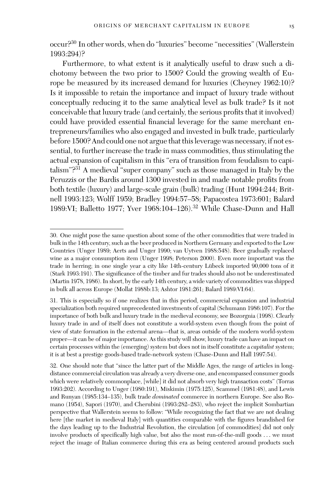occur?30 In other words, when do "luxuries" become "necessities" (Wallerstein 1993:294)?

Furthermore, to what extent is it analytically useful to draw such a dichotomy between the two prior to 1500? Could the growing wealth of Europe be measured by its increased demand for luxuries (Cheyney 1962:10)? Is it impossible to retain the importance and impact of luxury trade without conceptually reducing it to the same analytical level as bulk trade? Is it not conceivable that luxury trade (and certainly, the serious profits that it involved) could have provided essential financial leverage for the same merchant entrepreneurs/families who also engaged and invested in bulk trade, particularly before 1500? And could one not argue that this leverage was necessary, if not essential, to further increase the trade in mass commodities, thus stimulating the actual expansion of capitalism in this "era of transition from feudalism to capitalism"?31 A medieval "super company" such as those managed in Italy by the Peruzzis or the Bardis around 1300 invested in and made notable profits from both textile (luxury) and large-scale grain (bulk) trading (Hunt 1994:244; Britnell 1993:123; Wolff 1959; Bradley 1994:57–58; Papacostea 1973:601; Balard 1989:VI; Balletto 1977; Yver 1968:104–126).<sup>32</sup> While Chase-Dunn and Hall

<sup>30.</sup> One might pose the same question about some of the other commodities that were traded in bulk in the 14th century, such as the beer produced in Northern Germany and exported to the Low Countries (Unger 1989; Aerts and Unger 1990; van Uytven 1988:548). Beer gradually replaced wine as a major consumption item (Unger 1998; Peterson 2000). Even more important was the trade in herring; in one single year a city like 14th-century Lübeck imported 90,000 tons of it (Stark 1993:191). The significance of the timber and fur trades should also not be underestimated (Martin 1978, 1986). In short, by the early 14th century, a wide variety of commodities was shipped in bulk all across Europe (Mollat 1988b:13; Ashtor 1981:261; Balard 1989:VI:64).

<sup>31.</sup> This is especially so if one realizes that in this period, commercial expansion and industrial specialization both required unprecedented investments of capital (Schumann 1986:107). For the importance of both bulk and luxury trade in the medieval economy, see Bozorgnia (1998). Clearly luxury trade in and of itself does not constitute a world-system even though from the point of view of state formation in the external arena—that is, areas outside of the modern world-system proper—it can be of major importance. As this study will show, luxury trade can have an impact on certain processes within the (emerging) system but does not in itself constitute a *capitalist* system; it is at best a prestige goods-based trade-network system (Chase-Dunn and Hall 1997:54).

<sup>32.</sup> One should note that "since the latter part of the Middle Ages, the range of articles in longdistance commercial circulation was already a very diverse one, and encompassed consumer goods which were relatively commonplace, [while] it did not absorb very high transaction costs" (Torras 1993:202). According to Unger (1980:191), Miskimin (1975:125), Scammel (1981:48), and Lewis and Runyan (1985:134–135), bulk trade *dominated* commerce in northern Europe. See also Romano (1954), Sapori (1970), and Cherubini (1993:282–283), who reject the implicit Sombartian perspective that Wallerstein seems to follow: "While recognizing the fact that we are not dealing here [the market in medieval Italy] with quantities comparable with the figures brandished for the days leading up to the Industrial Revolution, the circulation [of commodities] did not only involve products of specifically high value, but also the most run-of-the-mill goods ... we must reject the image of Italian commerce during this era as being centered around products such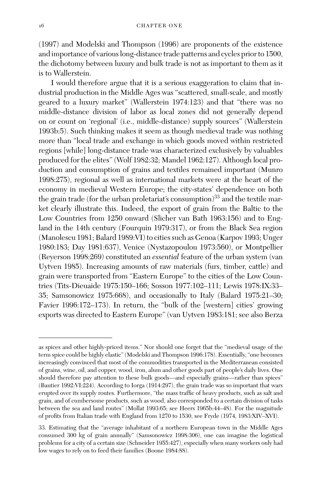(1997) and Modelski and Thompson (1996) are proponents of the existence and importance of various long-distance trade patterns and cycles prior to 1500, the dichotomy between luxury and bulk trade is not as important to them as it is to Wallerstein.

I would therefore argue that it is a serious exaggeration to claim that industrial production in the Middle Ages was "scattered, small-scale, and mostly geared to a luxury market" (Wallerstein 1974:123) and that "there was no middle-distance division of labor as local zones did not generally depend on or count on 'regional' (i.e., middle-distance) supply sources" (Wallerstein 1993b:5). Such thinking makes it seem as though medieval trade was nothing more than "local trade and exchange in which goods moved within restricted regions [while] long-distance trade was characterized exclusively by valuables produced for the elites" (Wolf 1982:32; Mandel 1962:127). Although local production and consumption of grains and textiles remained important (Munro 1998:275), regional as well as international markets were at the heart of the economy in medieval Western Europe; the city-states' dependence on both the grain trade (for the urban proletariat's consumption)<sup>33</sup> and the textile market clearly illustrate this. Indeed, the export of grain from the Baltic to the Low Countries from 1250 onward (Slicher van Bath 1963:156) and to England in the 14th century (Fourquin 1979:317), or from the Black Sea region (Manolescu 1981; Balard 1989:VI) to cities such as Genoa (Karpov 1993; Unger 1980:183; Day 1981:637), Venice (Nystazopoulou 1973:560), or Montpellier (Reyerson 1998:269) constituted an *essential* feature of the urban system (van Uytven 1985). Increasing amounts of raw materials (furs, timber, cattle) and grain were transported from "Eastern Europe" to the cities of the Low Countries (Tits-Dieuaide 1975:150–166; Sosson 1977:102–111; Lewis 1978:IX:33– 35; Samsonowicz 1975:668), and occasionally to Italy (Balard 1975:21–30; Favier 1996:172–173). In return, the "bulk of the [western] cities' growing exports was directed to Eastern Europe" (van Uytven 1983:181; see also Berza

as spices and other highly-priced items." Nor should one forget that the "medieval usage of the term spice could be highly elastic" (Modelski and Thompson 1996:178). Essentially, "one becomes increasingly convinced that most of the commodities transported in the Mediterranean consisted of grains, wine, oil, and copper, wood, iron, alum and other goods part of people's daily lives. One should therefore pay attention to these bulk goods—and especially grains—rather than spices" (Bautier 1992:VI:224). According to Iorga (1914:297), the grain trade was so important that wars erupted over its supply routes. Furthermore, "the mass traffic of heavy products, such as salt and grain, and of cumbersome products, such as wood, also corresponded to a certain division of tasks between the sea and land routes" (Mollat 1993:65; see Heers 1965b:44–48). For the magnitude of profits from Italian trade with England from 1270 to 1530, see Fryde (1974, 1983:XIV–XVI).

<sup>33.</sup> Estimating that the "average inhabitant of a northern European town in the Middle Ages consumed 300 kg of grain annually" (Samsonowicz 1998:306), one can imagine the logistical problems for a city of a certain size (Schneider 1955:427), especially when many workers only had low wages to rely on to feed their families (Boone 1984:88).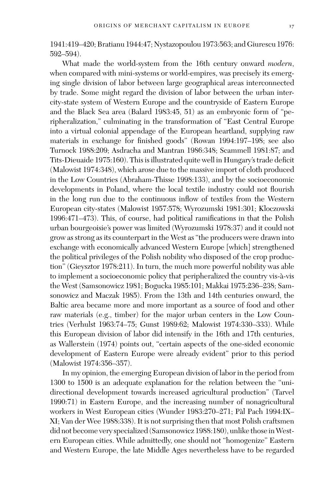1941:419–420; Bratianu 1944:47; Nystazopoulou 1973:563; and Giurescu 1976: 592–594).

What made the world-system from the 16th century onward *modern*, when compared with mini-systems or world-empires, was precisely its emerging single division of labor between large geographical areas interconnected by trade. Some might regard the division of labor between the urban intercity-state system of Western Europe and the countryside of Eastern Europe and the Black Sea area (Balard 1983:45, 51) as an embryonic form of "peripheralization," culminating in the transformation of "East Central Europe into a virtual colonial appendage of the European heartland, supplying raw materials in exchange for finished goods" (Rowan 1994:197–198; see also Turnock 1988:209; Asdracha and Mantran 1986:348; Scammell 1981:87; and Tits-Dieuaide 1975:160). This is illustrated quite well in Hungary's trade deficit (Malowist 1974:348), which arose due to the massive import of cloth produced in the Low Countries (Abraham-Thisse 1998:133), and by the socioeconomic developments in Poland, where the local textile industry could not flourish in the long run due to the continuous inflow of textiles from the Western European city-states (Malowist 1957:578; Wyrozumski 1981:301; Kloczowski 1996:471–473). This, of course, had political ramifications in that the Polish urban bourgeoisie's power was limited (Wyrozumski 1978:37) and it could not grow as strong as its counterpart in the West as "the producers were drawn into exchange with economically advanced Western Europe [which] strengthened the political privileges of the Polish nobility who disposed of the crop production" (Gieysztor 1978:211). In turn, the much more powerful nobility was able to implement a socioeconomic policy that peripheralized the country vis-à-vis the West (Samsonowicz 1981; Bogucka 1985:101; Makkai 1975:236–238; Samsonowicz and Maczak 1985). From the 13th and 14th centuries onward, the Baltic area became more and more important as a source of food and other raw materials (e.g., timber) for the major urban centers in the Low Countries (Verhulst 1963:74–75; Gunst 1989:62; Malowist 1974:330–333). While this European division of labor did intensify in the 16th and 17th centuries, as Wallerstein (1974) points out, "certain aspects of the one-sided economic development of Eastern Europe were already evident" prior to this period (Malowist 1974:356–357).

In my opinion, the emerging European division of labor in the period from 1300 to 1500 is an adequate explanation for the relation between the "unidirectional development towards increased agricultural production" (Tarvel 1990:71) in Eastern Europe, and the increasing number of nonagricultural workers in West European cities (Wunder 1983:270-271; Pàl Pach 1994:IX-XI; Van der Wee 1988:338). It is not surprising then that most Polish craftsmen did not become very specialized (Samsonowicz 1988:180), unlike those inWestern European cities. While admittedly, one should not "homogenize" Eastern and Western Europe, the late Middle Ages nevertheless have to be regarded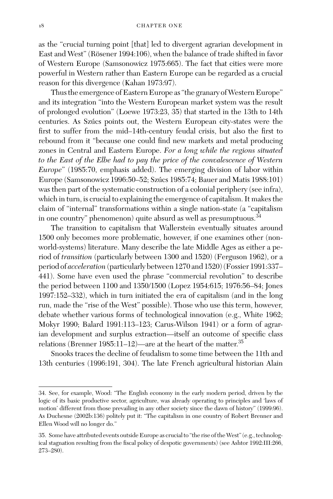as the "crucial turning point [that] led to divergent agrarian development in East and West" (Rösener 1994:106), when the balance of trade shifted in favor of Western Europe (Samsonowicz 1975:665). The fact that cities were more powerful in Western rather than Eastern Europe can be regarded as a crucial reason for this divergence (Kahan 1973:97).

Thus the emergence of Eastern Europe as "the granary of Western Europe" and its integration "into the Western European market system was the result of prolonged evolution" (Loewe 1973:23, 35) that started in the 13th to 14th centuries. As Szúcs points out, the Western European city-states were the first to suffer from the mid–14th-century feudal crisis, but also the first to rebound from it "because one could find new markets and metal producing zones in Central and Eastern Europe. *For a long while the regions situated to the East of the Elbe had to pay the price of the convalescence of Western Europe*" (1985:70, emphasis added). The emerging division of labor within Europe (Samsonowicz 1996:50–52; Szúcs 1985:74; Bauer and Matis 1988:101) was then part of the systematic construction of a colonial periphery (see infra), which in turn, is crucial to explaining the emergence of capitalism. It makes the claim of "internal" transformations within a single nation-state (a "capitalism in one country" phenomenon) quite absurd as well as presumptuous.  $34$ 

The transition to capitalism that Wallerstein eventually situates around 1500 only becomes more problematic, however, if one examines other (nonworld-systems) literature. Many describe the late Middle Ages as either a period of *transition* (particularly between 1300 and 1520) (Ferguson 1962), or a period of *acceleration* (particularly between 1270 and 1520) (Fossier 1991:337– 441). Some have even used the phrase "commercial revolution" to describe the period between 1100 and 1350/1500 (Lopez 1954:615; 1976:56–84; Jones 1997:152–332), which in turn initiated the era of capitalism (and in the long run, made the "rise of the West" possible). Those who use this term, however, debate whether various forms of technological innovation (e.g., White 1962; Mokyr 1990; Balard 1991:113–123; Carus-Wilson 1941) or a form of agrarian development and surplus extraction—itself an outcome of specific class relations (Brenner 1985:11–12)—are at the heart of the matter.<sup>35</sup>

Snooks traces the decline of feudalism to some time between the 11th and 13th centuries (1996:191, 304). The late French agricultural historian Alain

<sup>34.</sup> See, for example, Wood: "The English economy in the early modern period, driven by the logic of its basic productive sector, agriculture, was already operating to principles and 'laws of motion' different from those prevailing in any other society since the dawn of history" (1999:96). As Duchesne (2002b:136) politely put it: "The capitalism in one country of Robert Brenner and Ellen Wood will no longer do."

<sup>35.</sup> Some have attributed events outside Europe as crucial to "the rise of the West" (e.g., technological stagnation resulting from the fiscal policy of despotic governments) (see Ashtor 1992:III:266, 273–280).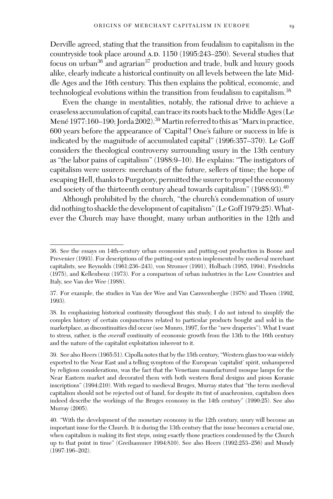Derville agreed, stating that the transition from feudalism to capitalism in the countryside took place around A.D. 1150 (1995:243–250). Several studies that focus on urban<sup>36</sup> and agrarian<sup>37</sup> production and trade, bulk and luxury goods alike, clearly indicate a historical continuity on all levels between the late Middle Ages and the 16th century. This then explains the political, economic, and technological evolutions within the transition from feudalism to capitalism.<sup>38</sup>

Even the change in mentalities, notably, the rational drive to achieve a ceaseless accumulation of capital, can trace its roots back to the Middle Ages (Le Mené 1977:160–190; Jorda 2002).<sup>39</sup> Martin referred to this as "Marx in practice, 600 years before the appearance of 'Capital'! One's failure or success in life is indicated by the magnitude of accumulated capital" (1996:357–370). Le Goff considers the theological controversy surrounding usury in the 13th century as "the labor pains of capitalism" (1988:9–10). He explains: "The instigators of capitalism were usurers: merchants of the future, sellers of time; the hope of escaping Hell, thanks to Purgatory, permitted the usurer to propel the economy and society of the thirteenth century ahead towards capitalism" (1988:93).<sup>40</sup>

Although prohibited by the church, "the church's condemnation of usury did nothing to shackle the development of capitalism" (Le Goff 1979:25).Whatever the Church may have thought, many urban authorities in the 12th and

<sup>36.</sup> See the essays on 14th-century urban economies and putting-out production in Boone and Prevenier (1993). For descriptions of the putting-out system implemented by medieval merchant capitalists, see Reynolds (1961:236–243), von Stromer (1991), Holbach (1985, 1994), Friedrichs (1975), and Kellenbenz (1973). For a comparison of urban industries in the Low Countries and Italy, see Van der Wee (1988).

<sup>37.</sup> For example, the studies in Van der Wee and Van Cauwenberghe (1978) and Thoen (1992, 1993).

<sup>38.</sup> In emphasizing historical continuity throughout this study, I do not intend to simplify the complex history of certain conjunctures related to particular products bought and sold in the marketplace, as discontinuities did occur (see Munro, 1997, for the "new draperies"). What I want to stress, rather, is the *overall* continuity of economic growth from the 13th to the 16th century and the nature of the capitalist exploitation inherent to it.

<sup>39.</sup> See also Heers (1965:51). Cipolla notes that by the 15th century, "Western glass too was widely exported to the Near East and a telling symptom of the European 'capitalist' spirit, unhampered by religious considerations, was the fact that the Venetians manufactured mosque lamps for the Near Eastern market and decorated them with both western floral designs and pious Koranic inscriptions" (1994:210). With regard to medieval Bruges, Murray states that "the term medieval capitalism should not be rejected out of hand, for despite its tint of anachronism, capitalism does indeed describe the workings of the Bruges economy in the 14th century" (1990:25). See also Murray (2005).

<sup>40. &</sup>quot;With the development of the monetary economy in the 12th century, usury will become an important issue for the Church. It is during the 13th century that the issue becomes a crucial one, when capitalism is making its first steps, using exactly those practices condemned by the Church up to that point in time" (Greilsammer 1994:810). See also Heers (1992:253–256) and Mundy (1997:196–202).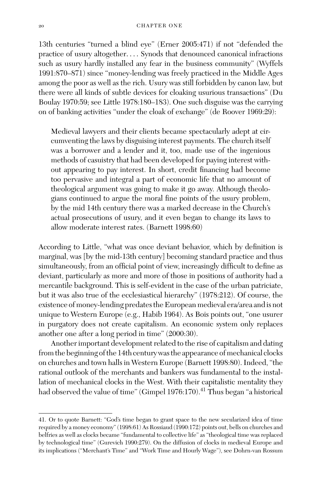13th centuries "turned a blind eye" (Erner 2005:471) if not "defended the practice of usury altogether.... Synods that denounced canonical infractions such as usury hardly installed any fear in the business community" (Wyffels 1991:870–871) since "money-lending was freely practiced in the Middle Ages among the poor as well as the rich. Usury was still forbidden by canon law, but there were all kinds of subtle devices for cloaking usurious transactions" (Du Boulay 1970:59; see Little 1978:180–183). One such disguise was the carrying on of banking activities "under the cloak of exchange" (de Roover 1969:29):

Medieval lawyers and their clients became spectacularly adept at circumventing the laws by disguising interest payments. The church itself was a borrower and a lender and it, too, made use of the ingenious methods of casuistry that had been developed for paying interest without appearing to pay interest. In short, credit financing had become too pervasive and integral a part of economic life that no amount of theological argument was going to make it go away. Although theologians continued to argue the moral fine points of the usury problem, by the mid 14th century there was a marked decrease in the Church's actual prosecutions of usury, and it even began to change its laws to allow moderate interest rates. (Barnett 1998:60)

According to Little, "what was once deviant behavior, which by definition is marginal, was [by the mid-13th century] becoming standard practice and thus simultaneously, from an official point of view, increasingly difficult to define as deviant, particularly as more and more of those in positions of authority had a mercantile background. This is self-evident in the case of the urban patriciate, but it was also true of the ecclesiastical hierarchy" (1978:212). Of course, the existence of money-lending predates the European medieval era/area and is not unique to Western Europe (e.g., Habib 1964). As Bois points out, "one usurer in purgatory does not create capitalism. An economic system only replaces another one after a long period in time" (2000:30).

Another important development related to the rise of capitalism and dating from the beginning of the 14th century was the appearance of mechanical clocks on churches and town halls in Western Europe (Barnett 1998:80). Indeed, "the rational outlook of the merchants and bankers was fundamental to the installation of mechanical clocks in the West. With their capitalistic mentality they had observed the value of time" (Gimpel 1976:170).<sup>41</sup> Thus began "a historical

<sup>41.</sup> Or to quote Barnett: "God's time began to grant space to the new secularized idea of time required by a money economy" (1998:61) As Rossiaud (1990:172) points out, bells on churches and belfries as well as clocks became "fundamental to collective life" as "theological time was replaced by technological time" (Gurevich 1990:279). On the diffusion of clocks in medieval Europe and its implications ("Merchant's Time" and "Work Time and Hourly Wage"), see Dohrn-van Rossum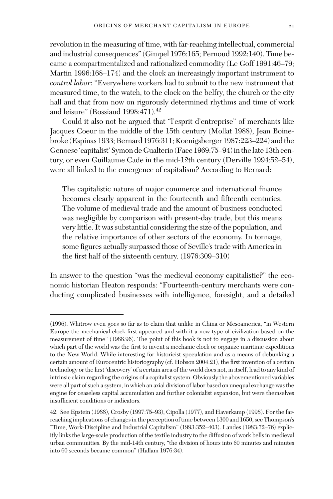revolution in the measuring of time, with far-reaching intellectual, commercial and industrial consequences" (Gimpel 1976:165; Pernoud 1992:140). Time became a compartmentalized and rationalized commodity (Le Goff 1991:46–79; Martin 1996:168–174) and the clock an increasingly important instrument to *control labor*: "Everywhere workers had to submit to the new instrument that measured time, to the watch, to the clock on the belfry, the church or the city hall and that from now on rigorously determined rhythms and time of work and leisure" (Rossiaud 1998:471).<sup>42</sup>

Could it also not be argued that "l'esprit d'entreprise" of merchants like Jacques Coeur in the middle of the 15th century (Mollat 1988), Jean Boinebroke (Espinas 1933; Bernard 1976:311; Koenigsberger 1987:223–224) and the Genoese 'capitalist' Symon de Gualterio (Face 1969:75–94) in the late 13th century, or even Guillaume Cade in the mid-12th century (Derville 1994:52–54), were all linked to the emergence of capitalism? According to Bernard:

The capitalistic nature of major commerce and international finance becomes clearly apparent in the fourteenth and fifteenth centuries. The volume of medieval trade and the amount of business conducted was negligible by comparison with present-day trade, but this means very little. It was substantial considering the size of the population, and the relative importance of other sectors of the economy. In tonnage, some figures actually surpassed those of Seville's trade with America in the first half of the sixteenth century. (1976:309–310)

In answer to the question "was the medieval economy capitalistic?" the economic historian Heaton responds: "Fourteenth-century merchants were conducting complicated businesses with intelligence, foresight, and a detailed

<sup>(1996).</sup> Whitrow even goes so far as to claim that unlike in China or Mesoamerica, "in Western Europe the mechanical clock first appeared and with it a new type of civilization based on the measurement of time" (1988:96). The point of this book is not to engage in a discussion about which part of the world was the first to invent a mechanic clock or organize maritime expeditions to the New World. While interesting for historicist speculation and as a means of debunking a certain amount of Eurocentric historiography (cf. Hobson 2004:21), the first invention of a certain technology or the first 'discovery' of a certain area of the world does not, in itself, lead to any kind of intrinsic claim regarding the origins of a capitalist system. Obviously the abovementioned variables were all part of such a system, in which an axial division of labor based on unequal exchange was the engine for ceaseless capital accumulation and further colonialist expansion, but were themselves insufficient conditions or indicators.

<sup>42.</sup> See Epstein (1988), Crosby (1997:75–93), Cipolla (1977), and Haverkamp (1998). For the farreaching implications of changes in the perception of time between 1300 and 1650, see Thompson's "Time, Work-Discipline and Industrial Capitalism" (1993:352–403). Landes (1983:72–76) explicitly links the large-scale production of the textile industry to the diffusion of work bells in medieval urban communities. By the mid-14th century, "the division of hours into 60 minutes and minutes into 60 seconds became common" (Hallam 1976:34).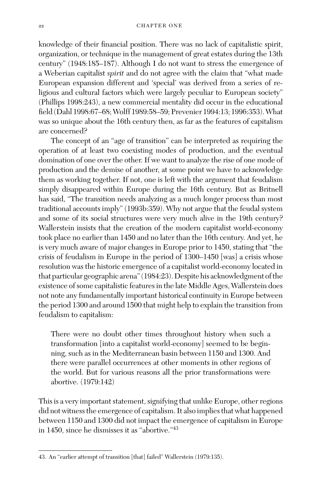knowledge of their financial position. There was no lack of capitalistic spirit, organization, or technique in the management of great estates during the 13th century" (1948:185–187). Although I do not want to stress the emergence of a Weberian capitalist *spirit* and do not agree with the claim that "what made European expansion different and 'special' was derived from a series of religious and cultural factors which were largely peculiar to European society" (Phillips 1998:243), a new commercial mentality did occur in the educational field (Dahl 1998:67–68;Wolff 1989:58–59; Prevenier 1994:13; 1996:353).What was so unique about the 16th century then, as far as the features of capitalism are concerned?

The concept of an "age of transition" can be interpreted as requiring the operation of at least two coexisting modes of production, and the eventual domination of one over the other. If we want to analyze the rise of one mode of production and the demise of another, at some point we have to acknowledge them as working together. If not, one is left with the argument that feudalism simply disappeared within Europe during the 16th century. But as Britnell has said, "The transition needs analyzing as a much longer process than most traditional accounts imply" (1993b:359). Why not argue that the feudal system and some of its social structures were very much alive in the 19th century? Wallerstein insists that the creation of the modern capitalist world-economy took place no earlier than 1450 and no later than the 16th century. And yet, he is very much aware of major changes in Europe prior to 1450, stating that "the crisis of feudalism in Europe in the period of 1300–1450 [was] a crisis whose resolution was the historic emergence of a capitalist world-economy located in that particular geographic arena" (1984:23). Despite his acknowledgment of the existence of some capitalistic features in the late Middle Ages, Wallerstein does not note any fundamentally important historical continuity in Europe between the period 1300 and around 1500 that might help to explain the transition from feudalism to capitalism:

There were no doubt other times throughout history when such a transformation [into a capitalist world-economy] seemed to be beginning, such as in the Mediterranean basin between 1150 and 1300. And there were parallel occurrences at other moments in other regions of the world. But for various reasons all the prior transformations were abortive. (1979:142)

This is a very important statement, signifying that unlike Europe, other regions did not witness the emergence of capitalism. It also implies that what happened between 1150 and 1300 did not impact the emergence of capitalism in Europe in 1450, since he dismisses it as "abortive."43

<sup>43.</sup> An "earlier attempt of transition [that] failed" Wallerstein (1979:135).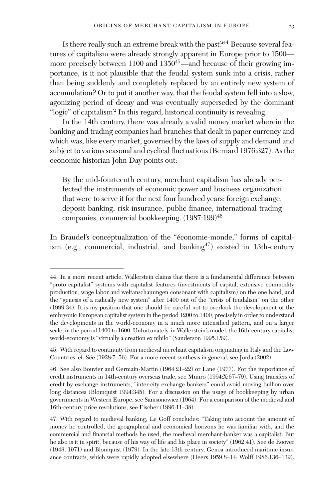Is there really such an extreme break with the past? $44$  Because several features of capitalism were already strongly apparent in Europe prior to 1500 more precisely between 1100 and 1350<sup>45</sup>—and because of their growing importance, is it not plausible that the feudal system sunk into a crisis, rather than being suddenly and completely replaced by an entirely new system of accumulation? Or to put it another way, that the feudal system fell into a slow, agonizing period of decay and was eventually superseded by the dominant "logic" of capitalism? In this regard, historical continuity is revealing.

In the 14th century, there was already a valid money market wherein the banking and trading companies had branches that dealt in paper currency and which was, like every market, governed by the laws of supply and demand and subject to various seasonal and cyclical fluctuations (Bernard 1976:327). As the economic historian John Day points out:

By the mid-fourteenth century, merchant capitalism has already perfected the instruments of economic power and business organization that were to serve it for the next four hundred years: foreign exchange, deposit banking, risk insurance, public finance, international trading companies, commercial bookkeeping. (1987:199)<sup>46</sup>

In Braudel's conceptualization of the "economie-monde," forms of capitalism (e.g., commercial, industrial, and  $\text{banking}^{47}$ ) existed in 13th-century

<sup>44.</sup> In a more recent article, Wallerstein claims that there is a fundamental difference between "proto capitalist" systems with capitalist features (investments of capital, extensive commodity production, wage labor and weltanschauungen consonant with capitalism) on the one hand, and the "genesis of a radically new system" after 1400 out of the "crisis of feudalism" on the other (1999:34). It is my position that one should be careful not to overlook the development of the embryonic European capitalist system in the period 1200 to 1400, precisely in order to understand the developments in the world-economy in a much more intensified pattern, and on a larger scale, in the period 1400 to 1600. Unfortunately, in Wallerstein's model, the 16th-century capitalist world-economy is "virtually a creation ex nihilo" (Sanderson 1995:159).

<sup>45.</sup> With regard to continuity from medieval merchant capitalism originating in Italy and the Low Countries, cf. Sée (1928:7–56). For a more recent synthesis in general, see Jorda (2002).

<sup>46.</sup> See also Bouvier and Germain-Martin (1964:21–22) or Lane (1977). For the importance of credit instruments in 14th-century overseas trade, see Munro (1994:X:67–79). Using transfers of credit by exchange instruments, "inter-city exchange bankers" could avoid moving bullion over long distances (Blomquist 1994:345). For a discussion on the usage of bookkeeping by urban governments in Western Europe, see Samsonowicz (1964). For a comparison of the medieval and 16th-century price revolutions, see Fischer (1996:11–38).

<sup>47.</sup> With regard to medieval banking, Le Goff concludes: "Taking into account the amount of money he controlled, the geographical and economical horizons he was familiar with, and the commercial and financial methods he used, the medieval merchant-banker was a capitalist. But he also is it in spirit, because of his way of life and his place in society" (1962:41). See de Roover (1948, 1971) and Blomquist (1979). In the late 13th century, Genoa introduced maritime insurance contracts, which were rapidly adopted elsewhere (Heers 1959:8–14; Wolff 1986:136–139).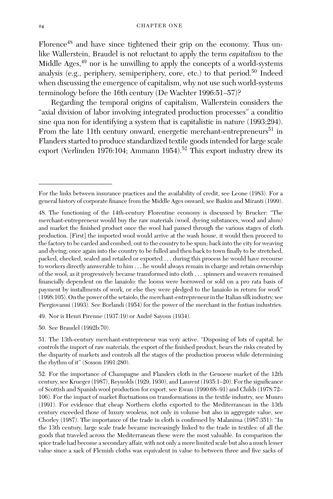Florence<sup>48</sup> and have since tightened their grip on the economy. Thus unlike Wallerstein, Braudel is not reluctant to apply the term *capitalism* to the Middle Ages, $49$  nor is he unwilling to apply the concepts of a world-systems analysis (e.g., periphery, semiperiphery, core, etc.) to that period.<sup>50</sup> Indeed when discussing the emergence of capitalism, why not use such world-systems terminology before the 16th century (De Wachter 1996:51–57)?

Regarding the temporal origins of capitalism, Wallerstein considers the "axial division of labor involving integrated production processes" a conditio sine qua non for identifying a system that is capitalistic in nature (1993:294). From the late 11th century onward, energetic merchant-entrepreneurs<sup>51</sup> in Flanders started to produce standardized textile goods intended for large scale export (Verlinden 1976:104; Ammann 1954).<sup>52</sup> This export industry drew its

50. See Braudel (1992b:70).

For the links between insurance practices and the availability of credit, see Leone (1983). For a general history of corporate finance from the Middle Ages onward, see Baskin and Miranti (1999).

<sup>48.</sup> The functioning of the 14th-century Florentine economy is discussed by Brucker: "The merchant-entrepreneur would buy the raw materials (wool, dyeing substances, wood and alum) and market the finished product once the wool had passed through the various stages of cloth production. [First] the imported wool would arrive at the wash house, it would then proceed to the factory to be carded and combed; out to the country to be spun; back into the city for weaving and dyeing; once again into the country to be fulled and then back to town finally to be stretched, packed, checked, sealed and retailed or exported ... during this process he would have recourse to workers directly answerable to him ... he would always remain in charge and retain ownership of the wool, as it progressively became transformed into cloth ... spinners and weavers remained financially dependent on the lanaiolo: the looms were borrowed or sold on a pro rata basis of payment by installments of work, or else they were pledged to the lanaiolo in return for work" (1998:105). On the power of the setaiolo, the merchant-entrepreneur in the Italian silk industry, see Piergiovanni (1993). See Borlandi (1954) for the power of the merchant in the fustian industries.

<sup>49.</sup> Nor is Henri Pirenne (1937:19) or André Sayous (1934).

<sup>51.</sup> The 13th-century merchant-entrepreneur was very active. "Disposing of lots of capital, he controls the import of raw materials, the export of the finished product, bears the risks created by the disparity of markets and controls all the stages of the production process while determining the rhythm of it" (Sosson 1991:280).

<sup>52.</sup> For the importance of Champagne and Flanders cloth in the Genoese market of the 12th century, see Krueger (1987), Reynolds (1929, 1930), and Laurent (1935:1–20). For the significance of Scottish and Spanish wool production for export, see Ewan (1990:68–91) and Childs (1978:72– 106). For the impact of market fluctuations on transformations in the textile industry, see Munro (1991). For evidence that cheap Northern cloths exported to the Mediterranean in the 13th century exceeded those of luxury woolens, not only in volume but also in aggregate value, see Chorley (1987). The importance of the trade in cloth is confirmed by Malanima (1987:351): "In the 13th century, large scale trade became increasingly linked to the trade in textiles: of all the goods that traveled across the Mediterranean these were the most valuable. In comparison the spice trade had become a secondary affair, with not only a more limited scale but also a much lesser value since a sack of Flemish cloths was equivalent in value to between three and five sacks of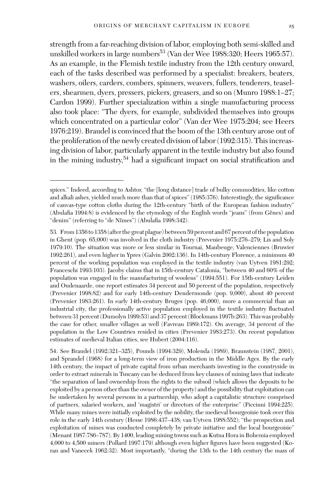strength from a far-reaching division of labor, employing both semi-skilled and unskilled workers in large numbers<sup>53</sup> (Van der Wee 1988:320; Heers 1965:57). As an example, in the Flemish textile industry from the 12th century onward, each of the tasks described was performed by a specialist: breakers, beaters, washers, oilers, carders, combers, spinners, weavers, fullers, tenderers, teaselers, shearmen, dyers, pressers, pickers, greasers, and so on (Munro 1988:1–27; Cardon 1999). Further specialization within a single manufacturing process also took place: "The dyers, for example, subdivided themselves into groups which concentrated on a particular color" (Van der Wee 1975:204; see Heers 1976:219). Braudel is convinced that the boom of the 13th century arose out of the proliferation of the newly created division of labor (1992:315). This increasing division of labor, particularly apparent in the textile industry but also found in the mining industry,  $54$  had a significant impact on social stratification and

spices." Indeed, according to Ashtor, "the [long distance] trade of bulky commodities, like cotton and alkali ashes, yielded much more than that of spices" (1985:376). Interestingly, the significance of canvas-type cotton cloths during the 12th-century "birth of the European fashion industry" (Abulafia 1994:8) is evidenced by the etymology of the English words "jeans" (from Gênes) and "denim" (referring to "de Nˆımes") (Abulafia 1998:342).

<sup>53.</sup> From 1356 to 1358 (after the great plague) between 59 percent and 67 percent of the population in Ghent (pop. 65,000) was involved in the cloth industry (Prevenier 1975:276–279; Lis and Soly 1979:10). The situation was more or less similar in Tournai, Maubeuge, Valenciennes (Bruwier 1992:261), and even higher in Ypres (Galvin 2002:136). In 14th-century Florence, a minimum 40 percent of the working population was employed in the textile industry (van Uytven 1981:292; Franceschi 1993:103). Jacoby claims that in 15th-century Catalonia, "between 40 and 60% of the population was engaged in the manufacturing of woolens" (1994:551). For 15th-century Leiden and Oudenaarde, one report estimates 34 percent and 50 percent of the population, respectively (Prevenier 1998:82) and for early 14th-century Dendermonde (pop. 9,000), about 40 percent (Prevenier 1983:261). In early 14th-century Bruges (pop. 46,000), more a commercial than an industrial city, the professionally active population employed in the textile industry fluctuated between 31 percent (Dumolyn 1999:53) and 37 percent (Blockmans 1997b:263). This was probably the case for other, smaller villages as well (Favreau 1989:172). On average, 34 percent of the population in the Low Countries resided in cities (Prevenier 1983:273). On recent population estimates of medieval Italian cities, see Hubert (2004:116).

<sup>54.</sup> See Braudel (1992:321–325), Pounds (1994:329), Molenda (1989), Braunstein (1987, 2001), and Sprandel (1968) for a long-term view of iron production in the Middle Ages. By the early 14th century, the impact of private capital from urban merchants investing in the countryside in order to extract minerals in Tuscany can be deduced from key clauses of mining laws that indicate "the separation of land ownership from the rights to the subsoil (which allows the deposits to be exploited by a person other than the owner of the property) and the possibility that exploitation can be undertaken by several persons in a partnership, who adopt a capitalistic structure comprised of partners, salaried workers, and 'magistri' or directors of the enterprise" (Piccinni 1994:225). While many mines were initially exploited by the nobility, the medieval bourgeoisie took over this role in the early 14th century (Hesse 1986:437–438; van Uytven 1988:552); "the prospection and exploitation of mines was conducted completely by private initiative and the local bourgeoisie" (Menant 1987:786–787). By 1400, leading mining towns such as Kutna Hora in Bohemia employed 4,000 to 4,500 miners (Pollard 1997:179) although even higher figures have been suggested (Koran and Vanecek 1962:32). Most importantly, "during the 13th to the 14th century the mass of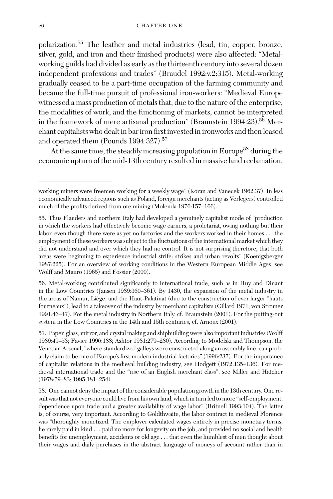polarization.<sup>55</sup> The leather and metal industries (lead, tin, copper, bronze, silver, gold, and iron and their finished products) were also affected: "Metalworking guilds had divided as early as the thirteenth century into several dozen independent professions and trades" (Braudel 1992:v.2:315). Metal-working gradually ceased to be a part-time occupation of the farming community and became the full-time pursuit of professional iron-workers: "Medieval Europe witnessed a mass production of metals that, due to the nature of the enterprise, the modalities of work, and the functioning of markets, cannot be interpreted in the framework of mere artisanal production" (Braunstein 1994:23).<sup>56</sup> Merchant capitalists who dealt in bar iron first invested in ironworks and then leased and operated them (Pounds 1994:327).<sup>57</sup>

At the same time, the steadily increasing population in Europe<sup>58</sup> during the economic upturn of the mid-13th century resulted in massive land reclamation.

56. Metal-working contributed significantly to international trade, such as in Huy and Dinant in the Low Countries (Jansen 1989:360–361). By 1430, the expansion of the metal industry in the areas of Namur, Liège, and the Haut-Palatinat (due to the construction of ever larger "hauts fourneaux"), lead to a takeover of the industry by merchant capitalists (Gillard 1971; von Stromer 1991:46–47). For the metal industry in Northern Italy, cf. Braunstein (2001). For the putting-out system in the Low Countries in the 14th and 15th centuries, cf. Arnoux (2001).

57. Paper, glass, mirror, and crystal making and shipbuilding were also important industries (Wolff 1989:49–53; Favier 1996:188; Ashtor 1981:279–280). According to Modelski and Thompson, the Venetian Arsenal, "where standardized galleys were constructed along an assembly line, can probably claim to be one of Europe's first modern industrial factories" (1996:237). For the importance of capitalist relations in the medieval building industry, see Hodgett (1972:135–136). For medieval international trade and the "rise of an English merchant class", see Miller and Hatcher (1978:79–83; 1995:181–254).

58. One cannot deny the impact of the considerable population growth in the 13th century. One result was that not everyone could live from his own land, which in turn led to more "self-employment, dependence upon trade and a greater availability of wage labor" (Britnell 1993:104). The latter is, of course, very important. According to Goldthwaite, the labor contract in medieval Florence was "thoroughly monetized. The employer calculated wages entirely in precise monetary terms, he rarely paid in kind ... paid no more for longevity on the job, and provided no social and health benefits for unemployment, accidents or old age ... that even the humblest of men thought about their wages and daily purchases in the abstract language of moneys of account rather than in

working miners were freemen working for a weekly wage" (Koran and Vanecek 1962:37). In less economically advanced regions such as Poland, foreign merchants (acting as Verlegers) controlled much of the profits derived from ore mining (Molenda 1976:157–166).

<sup>55.</sup> Thus Flanders and northern Italy had developed a genuinely capitalist mode of "production in which the workers had effectively become wage earners, a proletariat, owing nothing but their labor, even though there were as yet no factories and the workers worked in their homes ... the employment of these workers was subject to the fluctuations of the international market which they did not understand and over which they had no control. It is not surprising therefore, that both areas were beginning to experience industrial strife: strikes and urban revolts" (Koenigsberger 1987:225). For an overview of working conditions in the Western European Middle Ages, see Wolff and Mauro (1965) and Fossier (2000).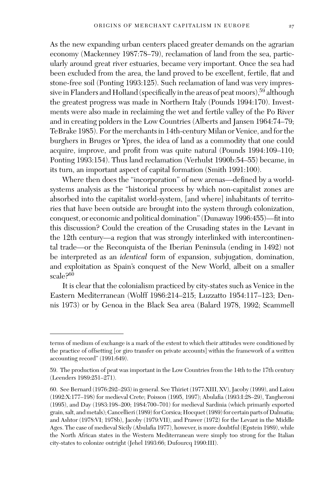As the new expanding urban centers placed greater demands on the agrarian economy (Mackenney 1987:78–79), reclamation of land from the sea, particularly around great river estuaries, became very important. Once the sea had been excluded from the area, the land proved to be excellent, fertile, flat and stone-free soil (Ponting 1993:125). Such reclamation of land was very impressive in Flanders and Holland (specifically in the areas of peat moors),<sup>59</sup> although the greatest progress was made in Northern Italy (Pounds 1994:170). Investments were also made in reclaiming the wet and fertile valley of the Po River and in creating polders in the Low Countries (Alberts and Jansen 1964:74–79; TeBrake 1985). For the merchants in 14th-century Milan or Venice, and for the burghers in Bruges or Ypres, the idea of land as a commodity that one could acquire, improve, and profit from was quite natural (Pounds 1994:109–110; Ponting 1993:154). Thus land reclamation (Verhulst 1990b:54–55) became, in its turn, an important aspect of capital formation (Smith 1991:100).

Where then does the "incorporation" of new arenas—defined by a worldsystems analysis as the "historical process by which non-capitalist zones are absorbed into the capitalist world-system, [and where] inhabitants of territories that have been outside are brought into the system through colonization, conquest, or economic and political domination" (Dunaway 1996:455)—fit into this discussion? Could the creation of the Crusading states in the Levant in the 12th century—a region that was strongly interlinked with intercontinental trade—or the Reconquista of the Iberian Peninsula (ending in 1492) not be interpreted as an *identical* form of expansion, subjugation, domination, and exploitation as Spain's conquest of the New World, albeit on a smaller scale?60

It is clear that the colonialism practiced by city-states such as Venice in the Eastern Mediterranean (Wolff 1986:214–215; Luzzatto 1954:117–123; Dennis 1973) or by Genoa in the Black Sea area (Balard 1978, 1992; Scammell

terms of medium of exchange is a mark of the extent to which their attitudes were conditioned by the practice of offsetting [or giro transfer on private accounts] within the framework of a written accounting record" (1991:649).

<sup>59.</sup> The production of peat was important in the Low Countries from the 14th to the 17th century (Leenders 1989:251–271).

<sup>60.</sup> See Bernard (1976:292–293) in general. See Thiriet (1977:XIII, XV), Jacoby (1999), and Laiou (1992:X:177–198) for medieval Crete; Poisson (1995, 1997); Abulafia (1993:I:28–29), Tangheroni (1995), and Day (1983:198–200; 1984:700–701) for medieval Sardinia (which primarily exported grain, salt, and metals); Cancellieri (1989) for Corsica; Hocquet (1989) for certain parts of Dalmatia; and Ashtor (1978:VI; 1978b), Jacoby (1979:VII), and Prawer (1972) for the Levant in the Middle Ages. The case of medieval Sicily (Abulafia 1977), however, is more doubtful (Epstein 1989), while the North African states in the Western Mediterranean were simply too strong for the Italian city-states to colonize outright (Jehel 1993:66; Dufourcq 1990:III).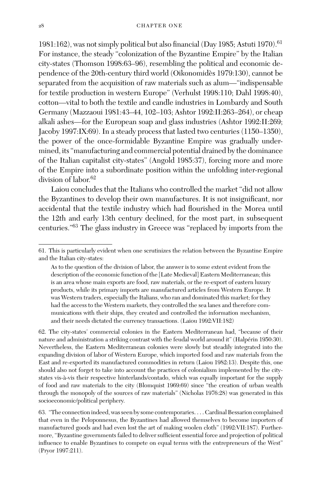1981:162), was not simply political but also financial (Day 1985; Astuti 1970).<sup>61</sup> For instance, the steady "colonization of the Byzantine Empire" by the Italian city-states (Thomson 1998:63–96), resembling the political and economic dependence of the 20th-century third world (Oikonomidès 1979:130), cannot be separated from the acquisition of raw materials such as alum—"indispensable for textile production in western Europe" (Verhulst 1998:110; Dahl 1998:40), cotton—vital to both the textile and candle industries in Lombardy and South Germany (Mazzaoui 1981:43–44, 102–103; Ashtor 1992:II:263–264), or cheap alkali ashes—for the European soap and glass industries (Ashtor 1992:II:269; Jacoby 1997:IX:69). In a steady process that lasted two centuries (1150–1350), the power of the once-formidable Byzantine Empire was gradually undermined, its "manufacturing and commercial potential drained by the dominance of the Italian capitalist city-states" (Angold 1985:37), forcing more and more of the Empire into a subordinate position within the unfolding inter-regional division of labor.<sup>62</sup>

Laiou concludes that the Italians who controlled the market "did not allow the Byzantines to develop their own manufactures. It is not insignificant, nor accidental that the textile industry which had flourished in the Morea until the 12th and early 13th century declined, for the most part, in subsequent centuries."63 The glass industry in Greece was "replaced by imports from the

<sup>61.</sup> This is particularly evident when one scrutinizes the relation between the Byzantine Empire and the Italian city-states:

As to the question of the division of labor, the answer is to some extent evident from the description of the economic function of the [Late Medieval] Eastern Mediterranean; this is an area whose main exports are food, raw materials, or the re-export of eastern luxury products, while its primary imports are manufactured articles from Western Europe. It was Western traders, especially the Italians, who ran and dominated this market; for they had the access to the Western markets, they controlled the sea lanes and therefore communications with their ships, they created and controlled the information mechanism, and their needs dictated the currency transactions. (Laiou 1992:VII:182)

<sup>62.</sup> The city-states' commercial colonies in the Eastern Mediterranean had, "because of their nature and administration a striking contrast with the feudal world around it" (Halpérin 1950:30). Nevertheless, the Eastern Mediterranean colonies were slowly but steadily integrated into the expanding division of labor of Western Europe, which imported food and raw materials from the East and re-exported its manufactured commodities in return (Laiou 1982:13). Despite this, one should also not forget to take into account the practices of colonialism implemented by the citystates vis-à-vis their respective hinterlands/contado, which was equally important for the supply of food and raw materials to the city (Blomquist 1969:69) since "the creation of urban wealth through the monopoly of the sources of raw materials" (Nicholas 1976:28) was generated in this socioeconomic/political periphery.

<sup>63. &</sup>quot;The connection indeed, was seen by some contemporaries.... Cardinal Bessarion complained that even in the Peloponnesus, the Byzantines had allowed themselves to become importers of manufactured goods and had even lost the art of making woolen cloth" (1992:VII:187). Furthermore, "Byzantine governments failed to deliver sufficient essential force and projection of political influence to enable Byzantines to compete on equal terms with the entrepreneurs of the West" (Pryor 1997:211).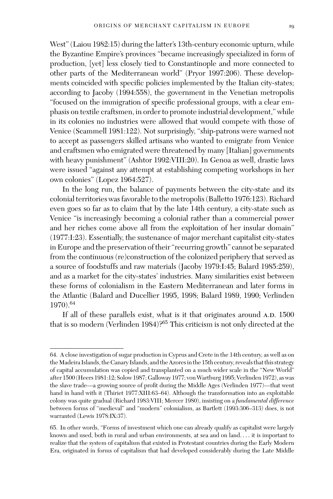West" (Laiou 1982:15) during the latter's 13th-century economic upturn, while the Byzantine Empire's provinces "became increasingly specialized in form of production, [yet] less closely tied to Constantinople and more connected to other parts of the Mediterranean world" (Pryor 1997:206). These developments coincided with specific policies implemented by the Italian city-states; according to Jacoby (1994:558), the government in the Venetian metropolis "focused on the immigration of specific professional groups, with a clear emphasis on textile craftsmen, in order to promote industrial development," while in its colonies no industries were allowed that would compete with those of Venice (Scammell 1981:122). Not surprisingly, "ship-patrons were warned not to accept as passengers skilled artisans who wanted to emigrate from Venice and craftsmen who emigrated were threatened by many [Italian] governments with heavy punishment" (Ashtor 1992:VIII:20). In Genoa as well, drastic laws were issued "against any attempt at establishing competing workshops in her own colonies" (Lopez 1964:527).

In the long run, the balance of payments between the city-state and its colonial territories was favorable to the metropolis (Balletto 1976:123). Richard even goes so far as to claim that by the late 14th century, a city-state such as Venice "is increasingly becoming a colonial rather than a commercial power and her riches come above all from the exploitation of her insular domain" (1977:I:23). Essentially, the sustenance of major merchant capitalist city-states in Europe and the preservation of their "recurring growth" cannot be separated from the continuous (re)construction of the colonized periphery that served as a source of foodstuffs and raw materials (Jacoby 1979:I:45; Balard 1985:259), and as a market for the city-states' industries. Many similarities exist between these forms of colonialism in the Eastern Mediterranean and later forms in the Atlantic (Balard and Ducellier 1995, 1998; Balard 1989, 1990; Verlinden 1970).64

If all of these parallels exist, what is it that originates around A.D. 1500 that is so modern (Verlinden 1984)?65 This criticism is not only directed at the

<sup>64.</sup> A close investigation of sugar production in Cyprus and Crete in the 14th century, as well as on theMadeira Islands, the Canary Islands, and the Azores in the 15th century, reveals that this strategy of capital accumulation was copied and transplanted on a much wider scale in the "New World" after 1500 (Heers 1981:12; Solow 1987; Galloway 1977; vonWartburg 1995; Verlinden 1972), as was the slave trade—a growing source of profit during the Middle Ages (Verlinden 1977)—that went hand in hand with it (Thiriet 1977:XIII:63–64). Although the transformation into an exploitable colony was quite gradual (Richard 1983:VIII; Mercer 1980), insisting on a *fundamental difference* between forms of "medieval" and "modern" colonialism, as Bartlett (1993:306–313) does, is not warranted (Lewis 1978:IX:37).

<sup>65.</sup> In other words, "Forms of investment which one can already qualify as capitalist were largely known and used, both in rural and urban environments, at sea and on land.... it is important to realize that the system of capitalism that existed in Protestant countries during the Early Modern Era, originated in forms of capitalism that had developed considerably during the Late Middle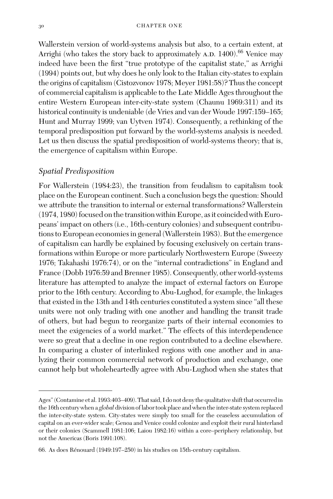Wallerstein version of world-systems analysis but also, to a certain extent, at Arrighi (who takes the story back to approximately A.D. 1400).<sup>66</sup> Venice may indeed have been the first "true prototype of the capitalist state," as Arrighi (1994) points out, but why does he only look to the Italian city-states to explain the origins of capitalism (Cistozvonov 1978; Meyer 1981:58)? Thus the concept of commercial capitalism is applicable to the Late Middle Ages throughout the entire Western European inter-city-state system (Chaunu 1969:311) and its historical continuity is undeniable (de Vries and van der Woude 1997:159–165; Hunt and Murray 1999; van Uytven 1974). Consequently, a rethinking of the temporal predisposition put forward by the world-systems analysis is needed. Let us then discuss the spatial predisposition of world-systems theory; that is, the emergence of capitalism within Europe.

## *Spatial Predisposition*

For Wallerstein (1984:23), the transition from feudalism to capitalism took place on the European continent. Such a conclusion begs the question: Should we attribute the transition to internal or external transformations? Wallerstein (1974, 1980) focused on the transition within Europe, as it coincided with Europeans' impact on others (i.e., 16th-century colonies) and subsequent contributions to European economies in general (Wallerstein 1983). But the emergence of capitalism can hardly be explained by focusing exclusively on certain transformations within Europe or more particularly Northwestern Europe (Sweezy 1976; Takahashi 1976:74), or on the "internal contradictions" in England and France (Dobb 1976:59 and Brenner 1985). Consequently, other world-systems literature has attempted to analyze the impact of external factors on Europe prior to the 16th century. According to Abu-Lughod, for example, the linkages that existed in the 13th and 14th centuries constituted a system since "all these units were not only trading with one another and handling the transit trade of others, but had begun to reorganize parts of their internal economies to meet the exigencies of a world market." The effects of this interdependence were so great that a decline in one region contributed to a decline elsewhere. In comparing a cluster of interlinked regions with one another and in analyzing their common commercial network of production and exchange, one cannot help but wholeheartedly agree with Abu-Lughod when she states that

Ages" (Contamine et al. 1993:403–409). That said, I do not deny the qualitative shift that occurred in the 16th century when a *global* division of labor took place and when the inter-state system replaced the inter-city-state system. City-states were simply too small for the ceaseless accumulation of capital on an ever-wider scale; Genoa and Venice could colonize and exploit their rural hinterland or their colonies (Scammell 1981:106; Laiou 1982:16) within a core–periphery relationship, but not the Americas (Boris 1991:108).

<sup>66.</sup> As does Rénouard (1949:197–250) in his studies on 15th-century capitalism.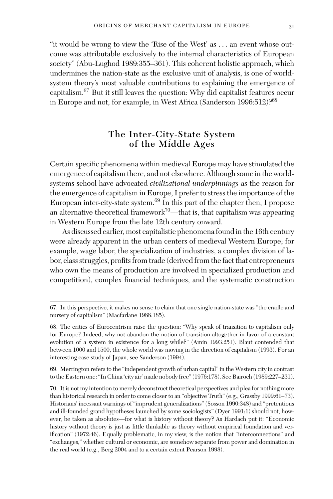"it would be wrong to view the 'Rise of the West' as ... an event whose outcome was attributable exclusively to the internal characteristics of European society" (Abu-Lughod 1989:355–361). This coherent holistic approach, which undermines the nation-state as the exclusive unit of analysis, is one of worldsystem theory's most valuable contributions to explaining the emergence of capitalism.67 But it still leaves the question: Why did capitalist features occur in Europe and not, for example, in West Africa (Sanderson 1996:512)?<sup>68</sup>

## **The Inter-City-State System of the Middle Ages**

Certain specific phenomena within medieval Europe may have stimulated the emergence of capitalism there, and not elsewhere. Although some in the worldsystems school have advocated *civilizational underpinnings* as the reason for the emergence of capitalism in Europe, I prefer to stress the importance of the European inter-city-state system. $69$  In this part of the chapter then, I propose an alternative theoretical framework<sup>70</sup>—that is, that capitalism was appearing in Western Europe from the late 12th century onward.

As discussed earlier, most capitalistic phenomena found in the 16th century were already apparent in the urban centers of medieval Western Europe; for example, wage labor, the specialization of industries, a complex division of labor, class struggles, profits from trade (derived from the fact that entrepreneurs who own the means of production are involved in specialized production and competition), complex financial techniques, and the systematic construction

69. Merrington refers to the "independent growth of urban capital" in the Western city in contrast to the Eastern one: "In China 'city air' made nobody free" (1976:178). See Bairoch (1989:227–231).

<sup>67.</sup> In this perspective, it makes no sense to claim that one single nation-state was "the cradle and nursery of capitalism" (Macfarlane 1988:185).

<sup>68.</sup> The critics of Eurocentrism raise the question: "Why speak of transition to capitalism only for Europe? Indeed, why not abandon the notion of transition altogether in favor of a constant evolution of a system in existence for a long while?" (Amin 1993:251). Blaut contended that between 1000 and 1500, the whole world was moving in the direction of capitalism (1993). For an interesting case study of Japan, see Sanderson (1994).

<sup>70.</sup> It is not my intention to merely deconstruct theoretical perspectives and plea for nothing more than historical research in order to come closer to an "objective Truth" (e.g., Grassby 1999:61–73). Historians' incessant warnings of "imprudent generalizations" (Sosson 1990:348) and "pretentious and ill-founded grand hypotheses launched by some sociologists" (Dyer 1991:1) should not, however, be taken as absolutes—for what is history without theory? As Hardach put it: "Economic history without theory is just as little thinkable as theory without empirical foundation and verification" (1972:46). Equally problematic, in my view, is the notion that "interconnections" and "exchanges," whether cultural or economic, are somehow separate from power and domination in the real world (e.g., Berg 2004 and to a certain extent Pearson 1998).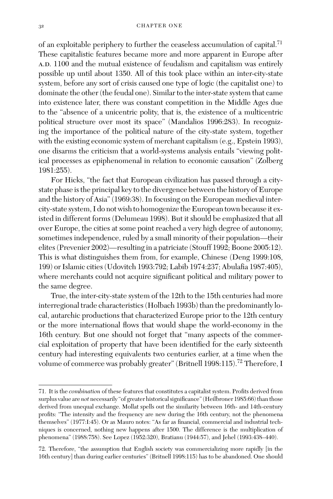of an exploitable periphery to further the ceaseless accumulation of capital.<sup>71</sup> These capitalistic features became more and more apparent in Europe after A.D. 1100 and the mutual existence of feudalism and capitalism was entirely possible up until about 1350. All of this took place within an inter-city-state system, before any sort of crisis caused one type of logic (the capitalist one) to dominate the other (the feudal one). Similar to the inter-state system that came into existence later, there was constant competition in the Middle Ages due to the "absence of a unicentric polity, that is, the existence of a multicentric political structure over most its space" (Mandalios 1996:283). In recognizing the importance of the political nature of the city-state system, together with the existing economic system of merchant capitalism (e.g., Epstein 1993), one disarms the criticism that a world-systems analysis entails "viewing political processes as epiphenomenal in relation to economic causation" (Zolberg 1981:255).

For Hicks, "the fact that European civilization has passed through a citystate phase is the principal key to the divergence between the history of Europe and the history of Asia" (1969:38). In focusing on the European medieval intercity-state system, I do not wish to homogenize the European town because it existed in different forms (Delumeau 1998). But it should be emphasized that all over Europe, the cities at some point reached a very high degree of autonomy, sometimes independence, ruled by a small minority of their population—their elites (Prevenier 2002)—resulting in a patriciate (Stouff 1992; Boone 2005:12). This is what distinguishes them from, for example, Chinese (Deng 1999:108, 199) or Islamic cities (Udovitch 1993:792; Labib 1974:237; Abulafia 1987:405), where merchants could not acquire significant political and military power to the same degree.

True, the inter-city-state system of the 12th to the 15th centuries had more interregional trade characteristics (Holbach 1993b) than the predominantly local, autarchic productions that characterized Europe prior to the 12th century or the more international flows that would shape the world-economy in the 16th century. But one should not forget that "many aspects of the commercial exploitation of property that have been identified for the early sixteenth century had interesting equivalents two centuries earlier, at a time when the volume of commerce was probably greater" (Britnell 1998:115).<sup>72</sup> Therefore, I

<sup>71.</sup> It is the *combination* of these features that constitutes a capitalist system. Profits derived from surplus value are *not* necessarily "of greater historical significance" (Heilbroner 1985:66) than those derived from unequal exchange. Mollat spells out the similarity between 16th- and 14th-century profits: "The intensity and the frequency are new during the 16th century, not the phenomena themselves" (1977:I:45). Or as Mauro notes: "As far as financial, commercial and industrial techniques is concerned, nothing new happens after 1500. The difference is the multiplication of phenomena" (1988:758). See Lopez (1952:320), Bratianu (1944:57), and Jehel (1993:438–440).

<sup>72.</sup> Therefore, "the assumption that English society was commercializing more rapidly [in the 16th century] than during earlier centuries" (Britnell 1998:115) has to be abandoned. One should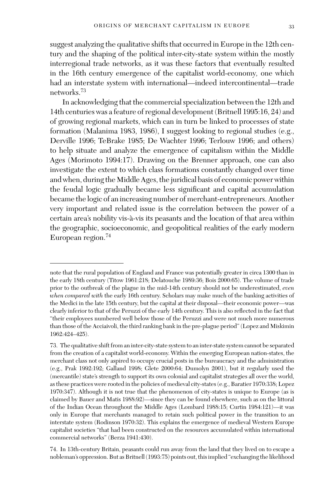suggest analyzing the qualitative shifts that occurred in Europe in the 12th century and the shaping of the political inter-city-state system within the mostly interregional trade networks, as it was these factors that eventually resulted in the 16th century emergence of the capitalist world-economy*,* one which had an interstate system with international—indeed intercontinental—trade networks.<sup>73</sup>

In acknowledging that the commercial specialization between the 12th and 14th centuries was a feature of regional development (Britnell 1995:16, 24) and of growing regional markets, which can in turn be linked to processes of state formation (Malanima 1983, 1986), I suggest looking to regional studies (e.g., Derville 1996; TeBrake 1985; De Wachter 1996; Terlouw 1996; and others) to help situate and analyze the emergence of capitalism within the Middle Ages (Morimoto 1994:17). Drawing on the Brenner approach, one can also investigate the extent to which class formations constantly changed over time and when, during the Middle Ages, the juridical basis of economic power within the feudal logic gradually became less significant and capital accumulation became the logic of an increasing number of merchant-entrepreneurs. Another very important and related issue is the correlation between the power of a certain area's nobility vis-à-vis its peasants and the location of that area within the geographic, socioeconomic, and geopolitical realities of the early modern European region.<sup>74</sup>

note that the rural population of England and France was potentially greater in circa 1300 than in the early 18th century (Titow 1961:218; Delatouche 1989:36; Bois 2000:65). The volume of trade prior to the outbreak of the plague in the mid-14th century should not be underestimated, *even when compared with* the early 16th century. Scholars may make much of the banking activities of the Medici in the late 15th century, but the capital at their disposal—their economic power—was clearly inferior to that of the Peruzzi of the early 14th century. This is also reflected in the fact that "their employees numbered well below those of the Peruzzi and were not much more numerous than those of the Acciaivoli, the third ranking bank in the pre-plague period" (Lopez and Miskimin 1962:424–425).

<sup>73.</sup> The qualitative shift from an inter-city-state system to an inter-state system cannot be separated from the creation of a capitalist world-economy. Within the emerging European nation-states, the merchant class not only aspired to occupy crucial posts in the bureaucracy and the administration (e.g., Prak 1992:192; Galland 1998; Glete 2000:64; Dumolyn 2001), but it regularly used the (mercantile) state's strength to support its own colonial and capitalist strategies all over the world, as these practices were rooted in the policies of medieval city-states (e.g., Baratier 1970:338; Lopez 1970:347). Although it is not true that the phenomenon of city-states is unique to Europe (as is claimed by Bauer and Matis 1988:92)—since they can be found elsewhere, such as on the littoral of the Indian Ocean throughout the Middle Ages (Lombard 1988:15; Curtin 1984:121)—it was only in Europe that merchants managed to retain such political power in the transition to an interstate system (Rodinson 1970:32). This explains the emergence of medieval Western Europe capitalist societies "that had been constructed on the resources accumulated within international commercial networks" (Berza 1941:430).

<sup>74.</sup> In 13th-century Britain, peasants could run away from the land that they lived on to escape a nobleman's oppression. But as Britnell (1993:75) points out, this implied "exchanging the likelihood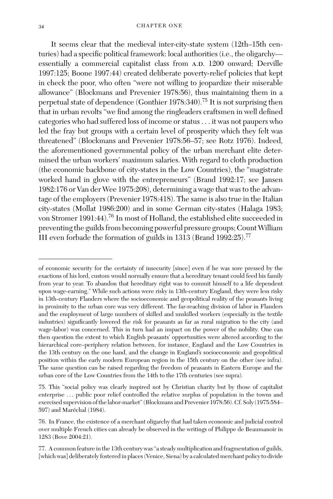It seems clear that the medieval inter-city-state system (12th–15th centuries) had a specific political framework: local authorities (i.e., the oligarchy essentially a commercial capitalist class from A.D. 1200 onward; Derville 1997:125; Boone 1997:44) created deliberate poverty-relief policies that kept in check the poor, who often "were not willing to jeopardize their miserable allowance" (Blockmans and Prevenier 1978:56), thus maintaining them in a perpetual state of dependence (Gonthier 1978:340).75 It is not surprising then that in urban revolts "we find among the ringleaders craftsmen in well defined categories who had suffered loss of income or status ... it was not paupers who led the fray but groups with a certain level of prosperity which they felt was threatened" (Blockmans and Prevenier 1978:56–57; see Rotz 1976). Indeed, the aforementioned governmental policy of the urban merchant elite determined the urban workers' maximum salaries. With regard to cloth production (the economic backbone of city-states in the Low Countries), the "magistrate worked hand in glove with the entrepreneurs" (Brand 1992:17; see Jansen 1982:176 or Van der Wee 1975:208), determining a wage that was to the advantage of the employers (Prevenier 1978:418). The same is also true in the Italian city-states (Mollat 1986:200) and in some German city-states (Halaga 1983; von Stromer 1991:44).<sup>76</sup> In most of Holland, the established elite succeeded in preventing the guilds from becoming powerful pressure groups; Count William III even forbade the formation of guilds in 1313 (Brand 1992:25).<sup>77</sup>

of economic security for the certainty of insecurity [since] even if he was sore pressed by the exactions of his lord, custom would normally ensure that a hereditary tenant could feed his family from year to year. To abandon that hereditary right was to commit himself to a life dependent upon wage-earning." While such actions were risky in 13th-century England, they were less risky in 13th-century Flanders where the socioeconomic and geopolitical reality of the peasants living in proximity to the urban core was very different. The far-reaching division of labor in Flanders and the employment of large numbers of skilled and unskilled workers (especially in the textile industries) significantly lowered the risk for peasants as far as rural migration to the city (and wage-labor) was concerned. This in turn had an impact on the power of the nobility. One can then question the extent to which English peasants' opportunities were altered according to the hierarchical core–periphery relation between, for instance, England and the Low Countries in the 13th century on the one hand, and the change in England's socioeconomic and geopolitical position within the early modern European region in the 15th century on the other (see infra). The same question can be raised regarding the freedom of peasants in Eastern Europe and the urban core of the Low Countries from the 14th to the 17th centuries (see supra).

<sup>75.</sup> This "social policy was clearly inspired not by Christian charity but by those of capitalist enterprise ... public poor relief controlled the relative surplus of population in the towns and exercised supervision of the labor-market" (Blockmans and Prevenier 1978:56). Cf. Soly (1975:584– 597) and Maréchal (1984).

<sup>76.</sup> In France, the existence of a merchant oligarchy that had taken economic and judicial control over multiple French cities can already be observed in the writings of Philippe de Beaumanoir in 1283 (Bove 2004:21).

<sup>77.</sup> A common feature in the 13th century was "a steady multiplication and fragmentation of guilds, [which was] deliberately fostered in places (Venice, Siena) by a calculated merchant policy to divide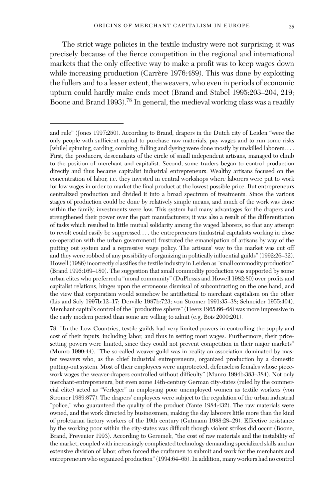The strict wage policies in the textile industry were not surprising; it was precisely because of the fierce competition in the regional and international markets that the only effective way to make a profit was to keep wages down while increasing production (Carrère 1976:489). This was done by exploiting the fullers and to a lesser extent, the weavers, who even in periods of economic upturn could hardly make ends meet (Brand and Stabel 1995:203–204, 219; Boone and Brand 1993).<sup>78</sup> In general, the medieval working class was a readily

and rule" (Jones 1997:250). According to Brand, drapers in the Dutch city of Leiden "were the only people with sufficient capital to purchase raw materials, pay wages and to run some risks [while] spinning, carding, combing, fulling and dyeing were done mostly by unskilled laborers.... First, the producers, descendants of the circle of small independent artisans, managed to climb to the position of merchant and capitalist. Second, some traders began to control production directly and thus became capitalist industrial entrepreneurs. Wealthy artisans focused on the concentration of labor, i.e. they invested in central workshops where laborers were put to work for low wages in order to market the final product at the lowest possible price. But entrepreneurs centralized production and divided it into a broad spectrum of treatments. Since the various stages of production could be done by relatively simple means, and much of the work was done within the family, investments were low. This system had many advantages for the drapers and strengthened their power over the part manufacturers; it was also a result of the differentiation of tasks which resulted in little mutual solidarity among the waged laborers, so that any attempt to revolt could easily be suppressed ... the entrepreneurs (industrial capitalists working in close co-operation with the urban government) frustrated the emancipation of artisans by way of the putting out system and a repressive wage policy. The artisans' way to the market was cut off and they were robbed of any possibility of organizing in politically influential guilds" (1992:26–32). Howell (1986) incorrectly classifies the textile industry in Leiden as "small commodity production" (Brand 1996:169–180). The suggestion that small commodity production was supported by some urban elites who preferred a "moral community" (DuPlessis and Howell 1982:80) over profits and capitalist relations, hinges upon the erroneous dismissal of subcontracting on the one hand, and the view that corporatism would somehow be antithetical to merchant capitalism on the other (Lis and Soly 1997b:12–17; Derville 1987b:723; von Stromer 1991:35–38; Schneider 1955:404). Merchant capital's control of the "productive sphere" (Heers 1965:66–68) was more impressive in the early modern period than some are willing to admit (e.g. Bois 2000:201).

<sup>78. &</sup>quot;In the Low Countries, textile guilds had very limited powers in controlling the supply and cost of their inputs, including labor, and thus in setting most wages. Furthermore, their pricesetting powers were limited, since they could not prevent competition in their major markets" (Munro 1990:44). "The so-called weaver-guild was in reality an association dominated by master weavers who, as the chief industrial entrepreneurs, organized production by a domestic putting-out system. Most of their employees were unprotected, defenseless females whose piecework wages the weaver-drapers controlled without difficulty" (Munro 1994b:383–384). Not only merchant-entrepreneurs, but even some 14th-century German city-states (ruled by the commercial elite) acted as "Verleger" in employing poor unemployed women as textile workers (von Stromer 1989:877). The drapers' employees were subject to the regulation of the urban industrial "police," who guaranteed the quality of the product (Yante 1984:432). The raw materials were owned, and the work directed by businessmen, making the day laborers little more than the kind of proletarian factory workers of the 19th century (Gutmann 1988:28–29). Effective resistance by the working poor within the city-states was difficult though violent strikes did occur (Boone, Brand, Prevenier 1993). According to Geremek, "the cost of raw materials and the instability of the market, coupled with increasingly complicated technology demanding specialized skills and an extensive division of labor, often forced the craftsmen to submit and work for the merchants and entrepreneurs who organized production" (1994:64–65). In addition, many workers had no control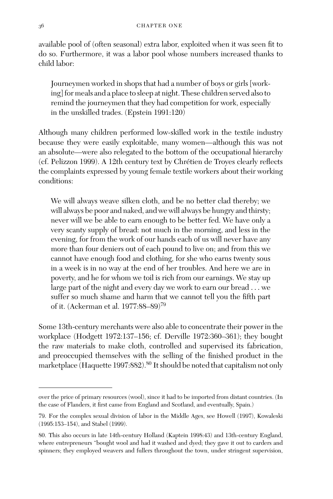available pool of (often seasonal) extra labor, exploited when it was seen fit to do so. Furthermore, it was a labor pool whose numbers increased thanks to child labor:

Journeymen worked in shops that had a number of boys or girls [working] for meals and a place to sleep at night. These children served also to remind the journeymen that they had competition for work, especially in the unskilled trades. (Epstein 1991:120)

Although many children performed low-skilled work in the textile industry because they were easily exploitable, many women—although this was not an absolute—were also relegated to the bottom of the occupational hierarchy (cf. Pelizzon 1999). A 12th century text by Chrétien de Troyes clearly reflects the complaints expressed by young female textile workers about their working conditions:

We will always weave silken cloth, and be no better clad thereby; we will always be poor and naked, and we will always be hungry and thirsty; never will we be able to earn enough to be better fed. We have only a very scanty supply of bread: not much in the morning, and less in the evening, for from the work of our hands each of us will never have any more than four deniers out of each pound to live on; and from this we cannot have enough food and clothing, for she who earns twenty sous in a week is in no way at the end of her troubles. And here we are in poverty, and he for whom we toil is rich from our earnings. We stay up large part of the night and every day we work to earn our bread ... we suffer so much shame and harm that we cannot tell you the fifth part of it. (Ackerman et al. 1977:88–89)<sup>79</sup>

Some 13th-century merchants were also able to concentrate their power in the workplace (Hodgett 1972:137–156; cf. Derville 1972:360–361); they bought the raw materials to make cloth, controlled and supervised its fabrication, and preoccupied themselves with the selling of the finished product in the marketplace (Haquette 1997:882).<sup>80</sup> It should be noted that capitalism not only

over the price of primary resources (wool), since it had to be imported from distant countries. (In the case of Flanders, it first came from England and Scotland, and eventually, Spain.)

<sup>79.</sup> For the complex sexual division of labor in the Middle Ages, see Howell (1997), Kowaleski (1995:153–154), and Stabel (1999).

<sup>80.</sup> This also occurs in late 14th-century Holland (Kaptein 1998:43) and 13th-century England, where entrepreneurs "bought wool and had it washed and dyed; they gave it out to carders and spinners; they employed weavers and fullers throughout the town, under stringent supervision,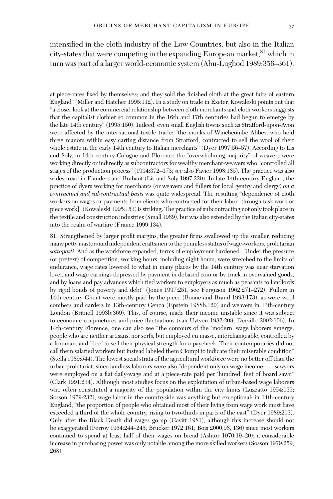intensified in the cloth industry of the Low Countries, but also in the Italian city-states that were competing in the expanding European market, <sup>81</sup> which in turn was part of a larger world-economic system (Abu-Lughod 1989:356–361).

81. Strengthened by larger profit margins, the greater firms swallowed up the smaller, reducing many petty masters and independent craftsmen to the penniless status of wage-workers, proletarian *sottoposti*. And as the workforce expanded, terms of employment hardened. "Under the pressure (or pretext) of competition, working hours, including night hours, were stretched to the limits of endurance, wage rates lowered to what in many places by the 14th century was near starvation level, and wage earnings depressed by payment in debased coin or by truck in overvalued goods, and by loans and pay advances which tied workers to employers as much as peasants to landlords by rigid bonds of poverty and debt" (Jones 1997:251; see Ferguson 1962:271–272). Fullers in 14th-century Ghent were mostly paid by the piece (Boone and Brand 1993:173), as were wool combers and carders in 13th-century Genoa (Epstein 1988b:120) and weavers in 13th-century London (Britnell 1993b:369). This, of course, made their income unstable since it was subject to economic conjunctures and price fluctuations (van Uytven 1982:208; Derville 2002:106). In 14th-century Florence, one can also see "the contours of the 'modern' wage laborers emerge: people who are neither artisans, nor serfs, but employed en masse, interchangeable, controlled by a foreman, and 'free' to sell their physical strength for a paycheck. Their contemporaries did not call them salaried workers but instead labeled them Ciompi to indicate their miserable condition" (Stella 1989:544). The lowest social strata of the agricultural workforce were no better off than the urban proletariat, since landless laborers were also "dependent only on wage income: ... sawyers were employed on a flat daily-wage and at a piece-rate paid per 'hundred' feet of board sawn" (Clark 1991:234). Although most studies focus on the exploitation of urban-based wage laborers who often constituted a majority of the population within the city limits (Luzzatto 1954:135; Sosson 1979:232), wage labor in the countryside was anything but exceptional; in 14th-century England, "the proportion of people who obtained most of their living from wage work must have exceeded a third of the whole country, rising to two-thirds in parts of the east" (Dyer 1989:213). Only after the Black Death did wages go up (Gavitt 1981), although this increase should not be exaggerated (Perroy 1964:244–245; Brucker 1972:161; Bois 2000:98, 136) since most workers continued to spend at least half of their wages on bread (Ashtor 1970:19–20); a considerable increase in purchasing power was only notable among the more skilled workers (Sosson 1979:259, 268).

at piece-rates fixed by themselves; and they sold the finished cloth at the great fairs of eastern England" (Miller and Hatcher 1995:112). In a study on trade in Exeter, Kowaleski points out that "a closer look at the commercial relationship between cloth merchants and cloth workers suggests that the capitalist clothier so common in the 16th and 17th centuries had begun to emerge by the late 14th century" (1995:150). Indeed, even small English towns such as Stratford-upon-Avon were affected by the international textile trade: "the monks of Winchcombe Abbey, who held three manors within easy carting distance from Stratford, contracted to sell the wool of their whole estate in the early 14th century to Italian merchants" (Dyer 1997:56–57). According to Lis and Soly, in 14th-century Cologne and Florence the "overwhelming majority" of weavers were working directly or indirectly as subcontractors for wealthy merchant-weavers who "controlled all stages of the production process" (1994:372–373; see also Favier 1998:185). The practice was also widespread in Flanders and Brabant (Lis and Soly 1997:229). In late 14th-century England, the practice of dyers working for merchants (or weavers and fullers for local gentry and clergy) *on a contractual and subcontractual basis* was quite widespread. The resulting "dependence of cloth workers on wages or payments from clients who contracted for their labor [through task work or piece work]" (Kowaleski 1995:153) is striking. The practice of subcontracting not only took place in the textile and construction industries (Small 1989), but was also extended by the Italian city-states into the realm of warfare (France 1999:134).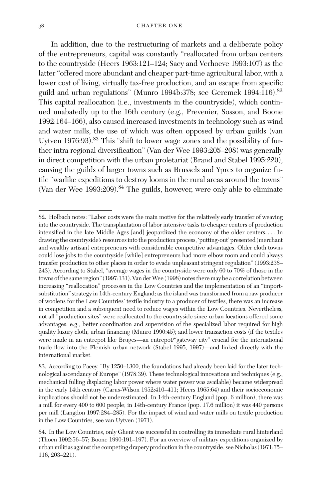In addition, due to the restructuring of markets and a deliberate policy of the entrepreneurs, capital was constantly "reallocated from urban centers to the countryside (Heers 1963:121–124; Saey and Verhoeve 1993:107) as the latter "offered more abundant and cheaper part-time agricultural labor, with a lower cost of living, virtually tax-free production, and an escape from specific guild and urban regulations" (Munro 1994b:378; see Geremek 1994:116).<sup>82</sup> This capital reallocation (i.e., investments in the countryside), which continued unabatedly up to the 16th century (e.g., Prevenier, Sosson, and Boone 1992:164–166), also caused increased investments in technology such as wind and water mills, the use of which was often opposed by urban guilds (van Uytven 1976:93).<sup>83</sup> This "shift to lower wage zones and the possibility of further intra regional diversification" (Van der Wee 1993:205–208) was generally in direct competition with the urban proletariat (Brand and Stabel 1995:220), causing the guilds of larger towns such as Brussels and Ypres to organize futile "warlike expeditions to destroy looms in the rural areas around the towns" (Van der Wee 1993:209).<sup>84</sup> The guilds, however, were only able to eliminate

<sup>82.</sup> Holbach notes: "Labor costs were the main motive for the relatively early transfer of weaving into the countryside. The transplantation of labor intensive tasks to cheaper centers of production intensified in the late Middle Ages [and] jeopardized the economy of the older centers.... In drawing the countryside's resources into the production process, 'putting-out' presented (merchant and wealthy artisan) entrepreneurs with considerable competitive advantages. Older cloth towns could lose jobs to the countryside [while] entrepreneurs had more elbow room and could always transfer production to other places in order to evade unpleasant stringent regulation" (1993:238– 243). According to Stabel, "average wages in the countryside were only 60 to 70% of those in the towns of the same region" (1997:131). Van derWee (1998) notes there may be a correlation between increasing "reallocation" processes in the Low Countries and the implementation of an "importsubstitution" strategy in 14th-century England; as the island was transformed from a raw producer of woolens for the Low Countries' textile industry to a producer of textiles, there was an increase in competition and a subsequent need to reduce wages within the Low Countries. Nevertheless, not all "production sites" were reallocated to the countryside since urban locations offered some advantages: e.g., better coordination and supervision of the specialized labor required for high quality luxury cloth; urban financing (Munro 1990:45); and lower transaction costs (if the textiles were made in an entrepot like Bruges—an entrepot/"gateway city" crucial for the international trade flow into the Flemish urban network (Stabel 1995, 1997)—and linked directly with the international market.

<sup>83.</sup> According to Pacey, "By 1250–1300, the foundations had already been laid for the later technological ascendancy of Europe" (1978:39). These technological innovations and techniques (e.g., mechanical fulling displacing labor power where water power was available) became widespread in the early 14th century (Carus-Wilson 1952:410–411; Heers 1965:64) and their socioeconomic implications should not be underestimated. In 14th-century England (pop. 6 million), there was a mill for every 400 to 600 people; in 14th-century France (pop. 17.6 million) it was 440 persons per mill (Langdon 1997:284–285). For the impact of wind and water mills on textile production in the Low Countries, see van Uytven (1971).

<sup>84.</sup> In the Low Countries, only Ghent was successful in controlling its immediate rural hinterland (Thoen 1992:56–57; Boone 1990:191–197). For an overview of military expeditions organized by urban militias against the competing drapery production in the countryside, see Nicholas (1971:75– 116, 203–221).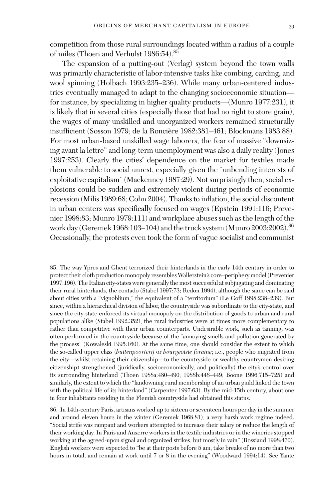competition from those rural surroundings located within a radius of a couple of miles (Thoen and Verhulst 1986:54).<sup>85</sup>

The expansion of a putting-out (Verlag) system beyond the town walls was primarily characteristic of labor-intensive tasks like combing, carding, and wool spinning (Holbach 1993:235–236). While many urban-centered industries eventually managed to adapt to the changing socioeconomic situation for instance, by specializing in higher quality products—(Munro 1977:231), it is likely that in several cities (especially those that had no right to store grain), the wages of many unskilled and unorganized workers remained structurally insufficient (Sosson 1979; de la Roncière 1982:381-461; Blockmans 1983:88). For most urban-based unskilled wage laborers, the fear of massive "downsizing avant la lettre" and long-term unemployment was also a daily reality (Jones 1997:253). Clearly the cities' dependence on the market for textiles made them vulnerable to social unrest, especially given the "unbending interests of exploitative capitalism" (Mackenney 1987:29). Not surprisingly then, social explosions could be sudden and extremely violent during periods of economic recession (Milis 1989:68; Cohn 2004). Thanks to inflation, the social discontent in urban centers was specifically focused on wages (Epstein 1991:116; Prevenier 1998:83; Munro 1979:111) and workplace abuses such as the length of the work day (Geremek 1968:103–104) and the truck system (Munro 2003:2002).<sup>86</sup> Occasionally, the protests even took the form of vague socialist and communist

<sup>85.</sup> The way Ypres and Ghent terrorized their hinterlands in the early 14th century in order to protect their cloth production monopoly resembles Wallerstein's core–periphery model (Prevenier 1997:196). The Italian city-states were generally the most successful at subjugating and dominating their rural hinterlands, the contado (Stabel 1997:73; Redon 1994), although the same can be said about cities with a "vignoblium," the equivalent of a "territorium" (Le Goff 1998:238–239). But since, within a hierarchical division of labor, the countryside was subordinate to the city-state, and since the city-state enforced its virtual monopoly on the distribution of goods to urban and rural populations alike (Stabel 1992:352), the rural industries were at times more complementary to rather than competitive with their urban counterparts. Undesirable work, such as tanning, was often performed in the countryside because of the "annoying smells and pollution generated by the process" (Kowaleski 1995:160). At the same time, one should consider the extent to which the so-called upper class (*buitenpoorterij* or *bourgeoisie foraine*; i.e., people who migrated from the city—whilst retaining their citizenship—to the countryside or wealthy countrymen desiring citizenship) strengthened (juridically, socioeconomically, and politically) the city's control over its surrounding hinterland (Thoen 1988a:480–490; 1988b:448–449; Boone 1996:715–725) and similarly, the extent to which the "landowning rural membership of an urban guild linked the town with the political life of its hinterland" (Carpenter 1997:63). By the mid-15th century, about one in four inhabitants residing in the Flemish countryside had obtained this status.

<sup>86.</sup> In 14th-century Paris, artisans worked up to sixteen or seventeen hours per day in the summer and around eleven hours in the winter (Geremek 1968:81), a very harsh work regime indeed. "Social strife was rampant and workers attempted to increase their salary or reduce the length of their working day. In Paris and Auxerre workers in the textile industries or in the wineries stopped working at the agreed-upon signal and organized strikes, but mostly in vain" (Rossiaud 1998:470). English workers were expected to "be at their posts before 5 am, take breaks of no more than two hours in total, and remain at work until 7 or 8 in the evening" (Woodward 1994:14). See Yante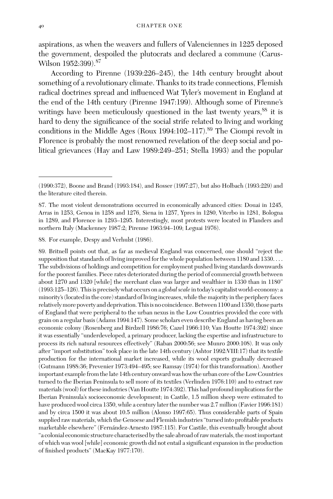aspirations, as when the weavers and fullers of Valenciennes in 1225 deposed the government, despoiled the plutocrats and declared a commune (Carus-Wilson 1952:399).<sup>87</sup>

According to Pirenne (1939:226–245), the 14th century brought about something of a revolutionary climate. Thanks to its trade connections, Flemish radical doctrines spread and influenced Wat Tyler's movement in England at the end of the 14th century (Pirenne 1947:199). Although some of Pirenne's writings have been meticulously questioned in the last twenty years, <sup>88</sup> it is hard to deny the significance of the social strife related to living and working conditions in the Middle Ages (Roux 1994:102–117).<sup>89</sup> The Ciompi revolt in Florence is probably the most renowned revelation of the deep social and political grievances (Hay and Law 1989:249–251; Stella 1993) and the popular

88. For example, Despy and Verhulst (1986).

89. Britnell points out that, as far as medieval England was concerned, one should "reject the supposition that standards of living improved for the whole population between 1180 and 1330.... The subdivisions of holdings and competition for employment pushed living standards downwards for the poorest families. Piece rates deteriorated during the period of commercial growth between about 1270 and 1320 [while] the merchant class was larger and wealthier in 1330 than in 1180" (1993:125–126). This is precisely what occurs on a *global scale* in today's capitalist world-economy: a minority's (located in the core) standard of living increases, while the majority in the periphery faces relatively more poverty and deprivation. This is no coincidence. Between 1100 and 1350, those parts of England that were peripheral to the urban nexus in the Low Countries provided the core with grain on a regular basis (Adams 1994:147). Some scholars even describe England as having been an economic colony (Rosenberg and Birdzell 1986:76; Cazel 1966:110; Van Houtte 1974:392) since it was essentially "underdeveloped, a primary producer, lacking the expertise and infrastructure to process its rich natural resources effectively" (Raban 2000:56; see Munro 2000:108). It was only after "import substitution" took place in the late 14th century (Ashtor 1992:VIII:17) that its textile production for the international market increased, while its wool exports gradually decreased (Gutmann 1988:36; Prevenier 1973:494–495; see Ramsay (1974) for this transformation). Another important example from the late 14th century onward was how the urban core of the Low Countries turned to the Iberian Peninsula to sell more of its textiles (Verlinden 1976:110) and to extract raw materials (wool) for these industries (Van Houtte 1974:392). This had profound implications for the Iberian Peninsula's socioeconomic development; in Castile, 1.5 million sheep were estimated to have produced wool circa 1350, while a century later the number was 2.7 million (Favier 1996:181) and by circa 1500 it was about 10.5 million (Alonso 1997:65). Thus considerable parts of Spain supplied raw materials, which the Genoese and Flemish industries "turned into profitable products marketable elsewhere" (Fernández-Arnesto 1987:115). For Castile, this eventually brought about "a colonial economic structure characterised by the sale abroad of raw materials, the most important of which was wool [while] economic growth did not entail a significant expansion in the production of finished products" (MacKay 1977:170).

<sup>(1990:372),</sup> Boone and Brand (1993:184), and Rosser (1997:27), but also Holbach (1993:229) and the literature cited therein.

<sup>87.</sup> The most violent demonstrations occurred in economically advanced cities: Douai in 1245, Arras in 1253, Genoa in 1258 and 1276, Siena in 1257, Ypres in 1280, Viterbo in 1281, Bologna in 1289, and Florence in 1293–1295. Interestingly, most protests were located in Flanders and northern Italy (Mackenney 1987:2; Pirenne 1963:94–109; Leguai 1976).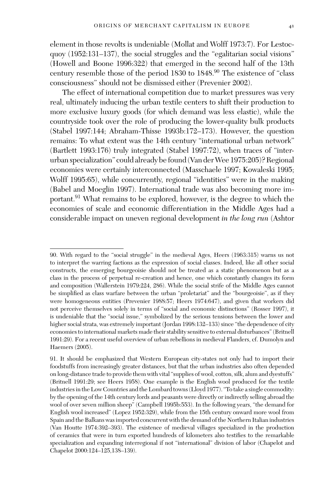element in those revolts is undeniable (Mollat and Wolff 1973:7). For Lestocquoy (1952:131–137), the social struggles and the "egalitarian social visions" (Howell and Boone 1996:322) that emerged in the second half of the 13th century resemble those of the period 1830 to 1848.<sup>90</sup> The existence of "class consciousness" should not be dismissed either (Prevenier 2002).

The effect of international competition due to market pressures was very real, ultimately inducing the urban textile centers to shift their production to more exclusive luxury goods (for which demand was less elastic), while the countryside took over the role of producing the lower-quality bulk products (Stabel 1997:144; Abraham-Thisse 1993b:172–173). However, the question remains: To what extent was the 14th century "international urban network" (Bartlett 1993:176) truly integrated (Stabel 1997:72), when traces of "interurban specialization" could already be found (Van derWee 1975:205)? Regional economies were certainly interconnected (Masschaele 1997; Kowaleski 1995; Wolff 1995:65), while concurrently, regional "identities" were in the making (Babel and Moeglin 1997). International trade was also becoming more important.<sup>91</sup> What remains to be explored, however, is the degree to which the economies of scale and economic differentiation in the Middle Ages had a considerable impact on uneven regional development *in the long run* (Ashtor

<sup>90.</sup> With regard to the "social struggle" in the medieval Ages, Heers (1963:315) warns us not to interpret the warring factions as the expression of social classes. Indeed, like all other social constructs, the emerging bourgeoisie should not be treated as a static phenomenon but as a class in the process of perpetual re-creation and hence, one which constantly changes its form and composition (Wallerstein 1979:224, 286). While the social strife of the Middle Ages cannot be simplified as class warfare between the urban "proletariat" and the "bourgeoisie", as if they were homogeneous entities (Prevenier 1988:57; Heers 1974:647), and given that workers did not perceive themselves solely in terms of "social and economic distinctions" (Rosser 1997), it is undeniable that the "social issue," symbolized by the serious tensions between the lower and higher social strata, was extremely important (Jordan 1998:132–133) since "the dependence of city economies to international markets made their stability sensitive to external disturbances" (Britnell 1991:29). For a recent useful overview of urban rebellions in medieval Flanders, cf. Dumolyn and Haemers (2005).

<sup>91.</sup> It should be emphasized that Western European city-states not only had to import their foodstuffs from increasingly greater distances, but that the urban industries also often depended on long-distance trade to provide them with vital "supplies of wool, cotton, silk, alum and dyestuffs" (Britnell 1991:29; see Heers 1958). One example is the English wool produced for the textile industries in the Low Countries and the Lombard towns (Lloyd 1977). "To take a single commodity: by the opening of the 14th century lords and peasants were directly or indirectly selling abroad the wool of over seven million sheep" (Campbell 1995b:553). In the following years, "the demand for English wool increased" (Lopez 1952:329), while from the 15th century onward more wool from Spain and the Balkans was imported concurrent with the demand of the Northern Italian industries (Van Houtte 1974:392–393). The existence of medieval villages specialized in the production of ceramics that were in turn exported hundreds of kilometers also testifies to the remarkable specialization and expanding interregional if not "international" division of labor (Chapelot and Chapelot 2000:124–125,138–139).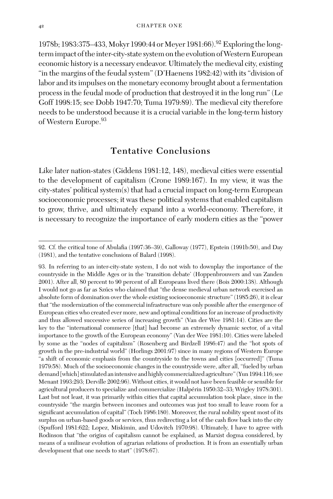1978b; 1983:375-433, Mokyr 1990:44 or Meyer 1981:66).<sup>92</sup> Exploring the longterm impact of the inter-city-state system on the evolution of Western European economic history is a necessary endeavor. Ultimately the medieval city, existing "in the margins of the feudal system" (D'Haenens 1982:42) with its "division of labor and its impulses on the monetary economy brought about a fermentation process in the feudal mode of production that destroyed it in the long run" (Le Goff 1998:15; see Dobb 1947:70; Tuma 1979:89). The medieval city therefore needs to be understood because it is a crucial variable in the long-term history of Western Europe.<sup>93</sup>

## **Tentative Conclusions**

Like later nation-states (Giddens 1981:12, 148), medieval cities were essential to the development of capitalism (Crone 1989:167). In my view, it was the city-states' political system(s) that had a crucial impact on long-term European socioeconomic processes; it was these political systems that enabled capitalism to grow, thrive, and ultimately expand into a world-economy. Therefore, it is necessary to recognize the importance of early modern cities as the "power

<sup>92.</sup> Cf. the critical tone of Abulafia (1997:36–39), Galloway (1977), Epstein (1991b:50), and Day (1981), and the tentative conclusions of Balard (1998).

<sup>93.</sup> In referring to an inter-city-state system, I do not wish to downplay the importance of the countryside in the Middle Ages or in the 'transition debate' (Hoppenbrouwers and van Zanden 2001). After all, 80 percent to 90 percent of all Europeans lived there (Bois 2000:138). Although I would not go as far as Szúcs who claimed that "the dense medieval urban network exercised an absolute form of domination over the whole existing socioeconomic structure" (1985:26), it is clear that "the modernization of the commercial infrastructure was only possible after the emergence of European cities who created ever more, new and optimal conditions for an increase of productivity and thus allowed successive series of increasing growth" (Van der Wee 1981:14). Cities are the key to the "international commerce [that] had become an extremely dynamic sector, of a vital importance to the growth of the European economy" (Van der Wee 1981:10). Cities were labeled by some as the "nodes of capitalism" (Rosenberg and Birdzell 1986:47) and the "hot spots of growth in the pre-industrial world" (Horlings 2001:97) since in many regions of Western Europe "a shift of economic emphasis from the countryside to the towns and cities [occurred]" (Tuma 1979:58). Much of the socioeconomic changes in the countryside were, after all, "fueled by urban demand [which] stimulated an intensive and highly commercialized agriculture" (Yun 1994:116; see Menant 1993:293; Derville 2002:96). Without cities, it would not have been feasible or sensible for agricultural producers to specialize and commercialize (Halpérin 1950:32–33; Wrigley 1978:301). Last but not least, it was primarily within cities that capital accumulation took place, since in the countryside "the margin between incomes and outcomes was just too small to leave room for a significant accumulation of capital" (Toch 1986:180). Moreover, the rural nobility spent most of its surplus on urban-based goods or services, thus redirecting a lot of the cash flow back into the city (Spufford 1981:622; Lopez, Miskimin, and Udovitch 1970:98). Ultimately, I have to agree with Rodinson that "the origins of capitalism cannot be explained, as Marxist dogma considered, by means of a unilinear evolution of agrarian relations of production. It is from an essentially urban development that one needs to start" (1978:67).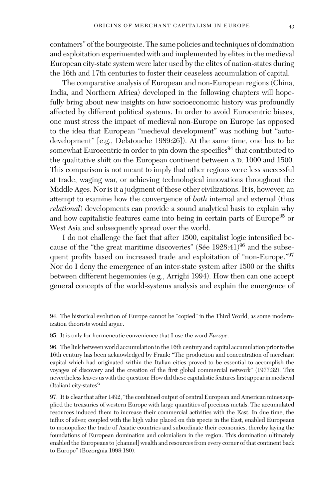containers" of the bourgeoisie. The same policies and techniques of domination and exploitation experimented with and implemented by elites in the medieval European city-state system were later used by the elites of nation-states during the 16th and 17th centuries to foster their ceaseless accumulation of capital.

The comparative analysis of European and non-European regions (China, India, and Northern Africa) developed in the following chapters will hopefully bring about new insights on how socioeconomic history was profoundly affected by different political systems. In order to avoid Eurocentric biases, one must stress the impact of medieval non-Europe on Europe (as opposed to the idea that European "medieval development" was nothing but "autodevelopment" [e.g., Delatouche 1989:26]). At the same time, one has to be somewhat Eurocentric in order to pin down the specifics<sup>94</sup> that contributed to the qualitative shift on the European continent between A.D. 1000 and 1500. This comparison is not meant to imply that other regions were less successful at trade, waging war, or achieving technological innovations throughout the Middle Ages. Nor is it a judgment of these other civilizations. It is, however, an attempt to examine how the convergence of *both* internal and external (thus *relational*) developments can provide a sound analytical basis to explain why and how capitalistic features came into being in certain parts of Europe<sup>95</sup> or West Asia and subsequently spread over the world.

I do not challenge the fact that after 1500, capitalist logic intensified because of the "the great maritime discoveries" (Sée 1928:41)<sup>96</sup> and the subsequent profits based on increased trade and exploitation of "non-Europe."97 Nor do I deny the emergence of an inter-state system after 1500 or the shifts between different hegemonies (e.g., Arrighi 1994). How then can one accept general concepts of the world-systems analysis and explain the emergence of

<sup>94.</sup> The historical evolution of Europe cannot be "copied" in the Third World, as some modernization theorists would argue.

<sup>95.</sup> It is only for hermeneutic convenience that I use the word *Europe*.

<sup>96.</sup> The link between world accumulation in the 16th century and capital accumulation prior to the 16th century has been acknowledged by Frank: "The production and concentration of merchant capital which had originated within the Italian cities proved to be essential to accomplish the voyages of discovery and the creation of the first global commercial network" (1977:32). This nevertheless leaves us with the question: How did these capitalistic features first appear in medieval (Italian) city-states?

<sup>97.</sup> It is clear that after 1492, "the combined output of central European and American mines supplied the treasuries of western Europe with large quantities of precious metals. The accumulated resources induced them to increase their commercial activities with the East. In due time, the influx of silver, coupled with the high value placed on this specie in the East, enabled Europeans to monopolize the trade of Asiatic countries and subordinate their economies, thereby laying the foundations of European domination and colonialism in the region. This domination ultimately enabled the Europeans to [channel] wealth and resources from every corner of that continent back to Europe" (Bozorgnia 1998:180).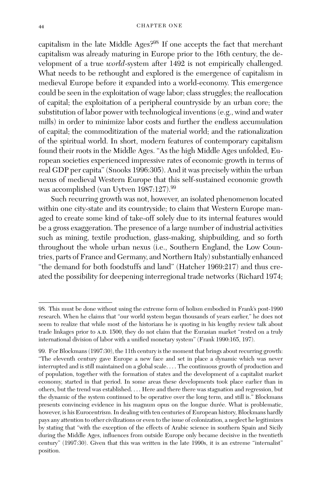capitalism in the late Middle Ages?<sup>98</sup> If one accepts the fact that merchant capitalism was already maturing in Europe prior to the 16th century, the development of a true *world*-system after 1492 is not empirically challenged. What needs to be rethought and explored is the emergence of capitalism in medieval Europe before it expanded into a world-economy. This emergence could be seen in the exploitation of wage labor; class struggles; the reallocation of capital; the exploitation of a peripheral countryside by an urban core; the substitution of labor power with technological inventions (e.g., wind and water mills) in order to minimize labor costs and further the endless accumulation of capital; the commoditization of the material world; and the rationalization of the spiritual world. In short, modern features of contemporary capitalism found their roots in the Middle Ages. "As the high Middle Ages unfolded, European societies experienced impressive rates of economic growth in terms of real GDP per capita" (Snooks 1996:305). And it was precisely within the urban nexus of medieval Western Europe that this self-sustained economic growth was accomplished (van Uytven 1987:127).99

Such recurring growth was not, however, an isolated phenomenon located within one city-state and its countryside; to claim that Western Europe managed to create some kind of take-off solely due to its internal features would be a gross exaggeration. The presence of a large number of industrial activities such as mining, textile production, glass-making, shipbuilding, and so forth throughout the whole urban nexus (i.e., Southern England, the Low Countries, parts of France and Germany, and Northern Italy) substantially enhanced "the demand for both foodstuffs and land" (Hatcher 1969:217) and thus created the possibility for deepening interregional trade networks (Richard 1974;

<sup>98.</sup> This must be done without using the extreme form of holism embodied in Frank's post-1990 research. When he claims that "our world system began thousands of years earlier," he does not seem to realize that while most of the historians he is quoting in his lengthy review talk about trade linkages prior to A.D. 1500, they do not claim that the Eurasian market "rested on a truly international division of labor with a unified monetary system" (Frank 1990:165, 197).

<sup>99.</sup> For Blockmans (1997:30), the 11th century is the moment that brings about recurring growth: "The eleventh century gave Europe a new face and set in place a dynamic which was never interrupted and is still maintained on a global scale.... The continuous growth of production and of population, together with the formation of states and the development of a capitalist market economy, started in that period. In some areas these developments took place earlier than in others, but the trend was established.... Here and there there was stagnation and regression, but the dynamic of the system continued to be operative over the long term, and still is." Blockmans presents convincing evidence in his magnum opus on the longue durée. What is problematic, however, is his Eurocentrism. In dealing with ten centuries of European history, Blockmans hardly pays any attention to other civilizations or even to the issue of colonization, a neglect he legitimizes by stating that "with the exception of the effects of Arabic science in southern Spain and Sicily during the Middle Ages, influences from outside Europe only became decisive in the twentieth century" (1997:30). Given that this was written in the late 1990s, it is an extreme "internalist" position.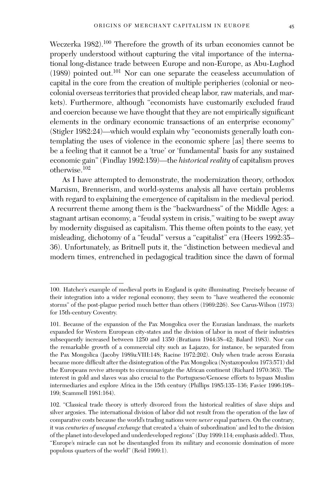Weczerka 1982).<sup>100</sup> Therefore the growth of its urban economies cannot be properly understood without capturing the vital importance of the international long-distance trade between Europe and non-Europe, as Abu-Lughod (1989) pointed out.<sup>101</sup> Nor can one separate the ceaseless accumulation of capital in the core from the creation of multiple peripheries (colonial or neocolonial overseas territories that provided cheap labor, raw materials, and markets). Furthermore, although "economists have customarily excluded fraud and coercion because we have thought that they are not empirically significant elements in the ordinary economic transactions of an enterprise economy" (Stigler 1982:24)—which would explain why "economists generally loath contemplating the uses of violence in the economic sphere [as] there seems to

be a feeling that it cannot be a 'true' or 'fundamental' basis for any sustained economic gain" (Findlay 1992:159)—the *historical reality* of capitalism proves otherwise.102

As I have attempted to demonstrate, the modernization theory, orthodox Marxism, Brennerism, and world-systems analysis all have certain problems with regard to explaining the emergence of capitalism in the medieval period. A recurrent theme among them is the "backwardness" of the Middle Ages: a stagnant artisan economy, a "feudal system in crisis," waiting to be swept away by modernity disguised as capitalism. This theme often points to the easy, yet misleading, dichotomy of a "feudal" versus a "capitalist" era (Heers 1992:35– 36). Unfortunately, as Britnell puts it, the "distinction between medieval and modern times, entrenched in pedagogical tradition since the dawn of formal

<sup>100.</sup> Hatcher's example of medieval ports in England is quite illuminating. Precisely because of their integration into a wider regional economy, they seem to "have weathered the economic storms" of the post-plague period much better than others (1969:226). See Carus-Wilson (1973) for 15th-century Coventry.

<sup>101.</sup> Because of the expansion of the Pax Mongolica over the Eurasian landmass, the markets expanded for Western European city-states and the division of labor in most of their industries subsequently increased between 1250 and 1350 (Bratianu 1944:38–42; Balard 1983). Nor can the remarkable growth of a commercial city such as Lajazzo, for instance, be separated from the Pax Mongolica (Jacoby 1989a:VIII:148; Racine 1972:202). Only when trade across Eurasia became more difficult after the disintegration of the Pax Mongolica (Nystazopoulou 1973:571) did the Europeans revive attempts to circumnavigate the African continent (Richard 1970:363). The interest in gold and slaves was also crucial to the Portuguese/Genoese efforts to bypass Muslim intermediaries and explore Africa in the 15th century (Phillips 1985:135–136; Favier 1996:198– 199; Scammell 1981:164).

<sup>102. &</sup>quot;Classical trade theory is utterly divorced from the historical realities of slave ships and silver argosies. The international division of labor did not result from the operation of the law of comparative costs because the world's trading nations were *never* equal partners. On the contrary, it was *centuries of unequal exchange* that created a 'chain of subordination' and led to the division of the planet into developed and underdeveloped regions" (Day 1999:114; emphasis added). Thus, "Europe's miracle can not be disentangled from its military and economic domination of more populous quarters of the world" (Reid 1999:1).